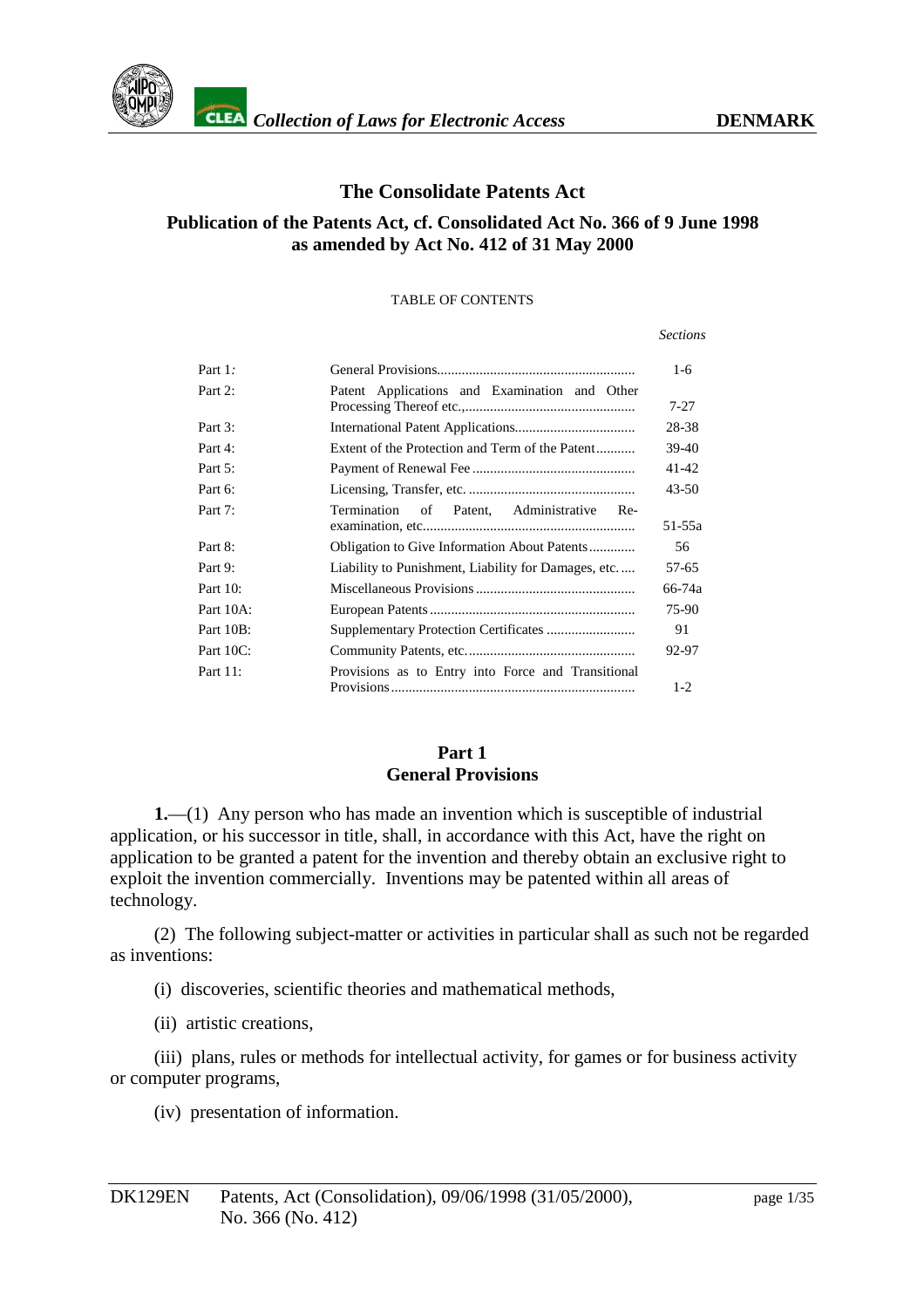

#### **The Consolidate Patents Act**

#### **Publication of the Patents Act, cf. Consolidated Act No. 366 of 9 June 1998 as amended by Act No. 412 of 31 May 2000**

#### TABLE OF CONTENTS

#### *Sections*

| Part $1$ :          |                                                                             | $1-6$    |
|---------------------|-----------------------------------------------------------------------------|----------|
| Part <sub>2</sub> : | Patent Applications and Examination and Oth er                              | $7 - 27$ |
| Part3:              |                                                                             | 28-38    |
| Part4:              | Extent of the Protection and Term of the Patent<br>$\overline{\phantom{a}}$ | 39-40    |
| Part <sub>5</sub> : |                                                                             | 41-42    |
| Part <sub>6</sub> : |                                                                             | 43-50    |
| Part <sub>7</sub> : | Termination of Patent, Administrative Re-                                   | 51-55a   |
| Part <sub>8</sub> : | ObligationtoGiveInformationAboutPatents                                     | 56       |
| Part9:              | LiabilitytoPunishment,LiabilityforDamages,etc.                              | 57-65    |
| Part10:             |                                                                             | 66-74a   |
| Part10A:            |                                                                             | 75-90    |
| Part10B:            |                                                                             | 91       |
| Part10C:            |                                                                             | 92-97    |
| Part11:             | Provisions as to Entry into Force and Transitional                          | $1-2$    |

#### **Part1 General Provisions**

**1.**—(1) Any person who has made an invention which is susceptible of ind ustrial application, or his successor in title, shall, in accordance with this Act, have the right on application to be granted a patent for the invention and thereby obtain an exclusive right to exploit the invention commercially. Inventions may be paten ted within all areas of technology.

(2) The following subject -matter or activities in particular shall as such not be regarded as inventions:

(i) discoveries, scientific theories and mathematical methods,

(ii) artistic creations,

(iii) plans, rules or methods for intellectual activity, for games or for business activity or computer programs,

(iv) presentation of information.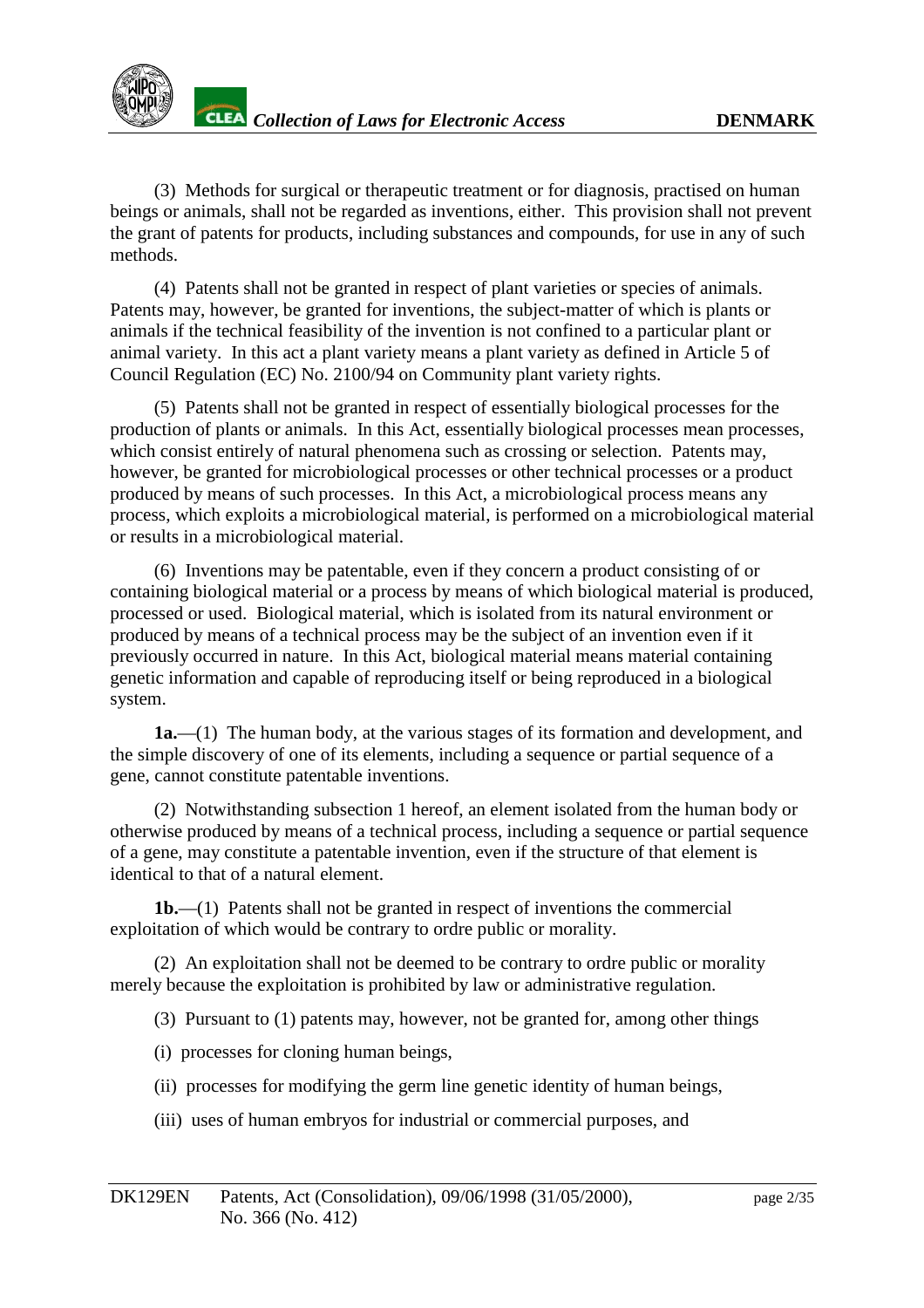

(3) Methods for surgical or the rapeutic treatment or for diagnosis, practised on human beings or animals, shall not be regarded as inventions, either. This provision shall not prevent the grant of patents for products, including substances and compounds, for use in any of such methods.

(4) Patents shall not be granted in respect of plant varieties or species of animals. Patents may, however, be granted for inventions, the subject -matter of which is plants or animals if the technical feasibility of the invention is not confined to a particular plant or animal variety. In this act a plant variety means a plant variety as defined i nArticle 5 of Council Regulation (EC) No. 2100/94 on Community plant variety rights.

(5) Patents shall not be granted in respect of essentially biological processes for the production of plants or animals. In this Act, essentially biological processes m ean processes, which consistentirely of natural phenomena such as crossing or selection. Patents may, however, be granted for microbiological processes or other technical processes or a product produced by means of such processes. In this Act, a microbi ological process means any process, which exploits a microbiological material, is performed on a microbiological material orresults in a microbiological material.

(6) Inventions may be patentable, even if they concern a product consisting of or containing biological material or a process by means of which biological material is produced, processed or used. Biological material, which is isolated from its natural environment or produced by means of a technical process may be the subject of an invention eve nifit previously occurred in nature. In this Act, biological material means material containing genetic information and capable of reproducing itself or being reproduced in a biological system.

**1a.**—(1) The human body, at the various stages of its forma tion and development, and the simple discovery of one of its elements, including a sequence or partial sequence of a gene, cannot constitute patentable inventions.

(2) Notwithstanding subsection 1 hereof, an element isolated from the human body or otherwise produced by means of a technical process, including a sequence or partial sequence of a gene, may constitute a patentable invention, even if the structure of that element is identical to that of a natural element.

**1b.**—(1) Patents shall not be granted i mespect of inventions the commercial exploitation of which would be contrary to ordrepublic or morality.

(2) An exploitation shall not be deemed to be contrary to ordrepublic or morality merely because the exploitation is prohibited by law or administ rative regulation.

(3) Pursuant to (1) patents may, however, not be granted for, among other things

(i) processes for cloning human beings,

(ii) processes for modifying the germ line genetic identity of human beings,

(iii) uses of human embryos for industrial or commercial purposes, and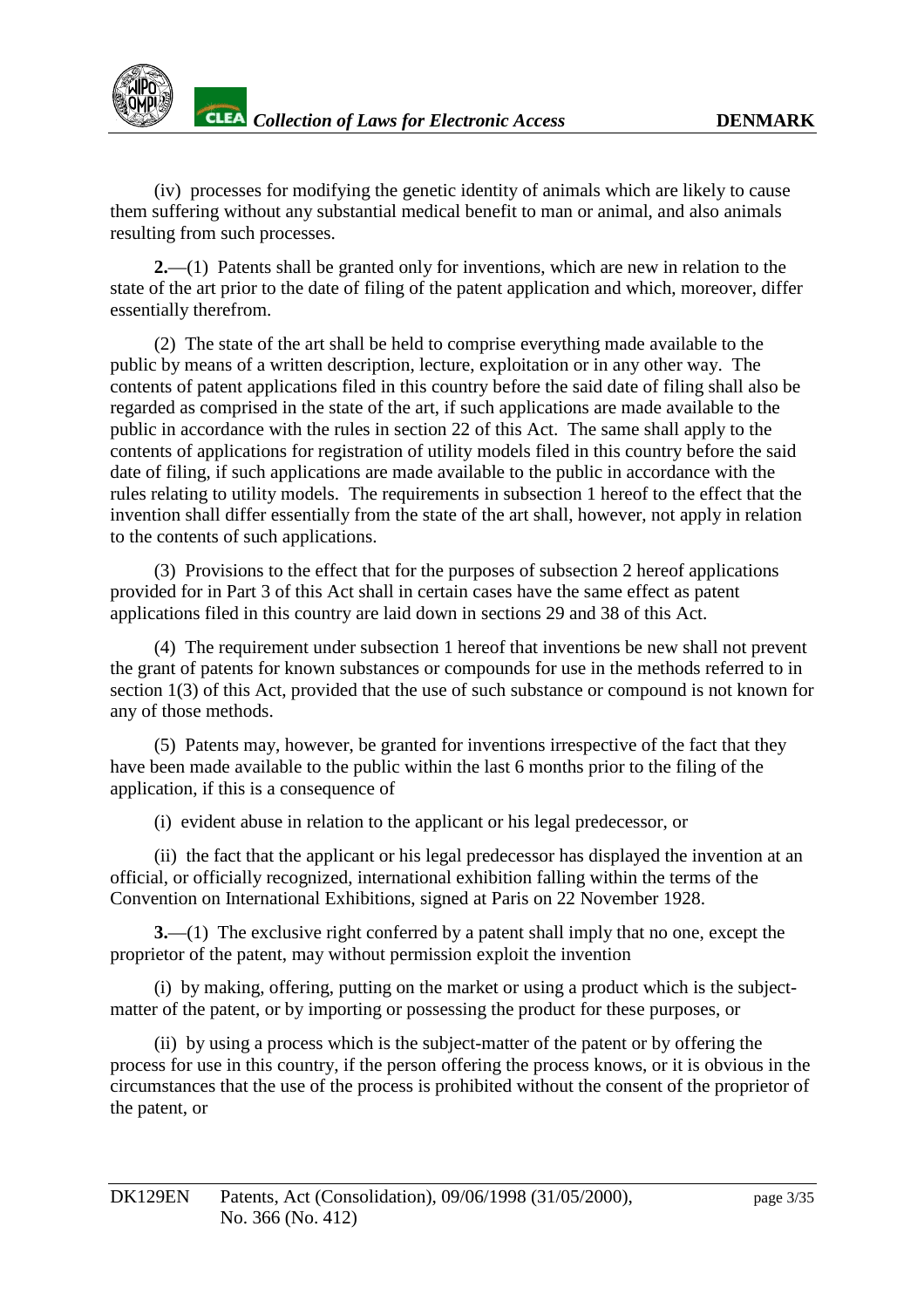(iv) processes for modifying the genetic identity of animals which are likely to cause them suffering without any substantial medical benefit to manoranimal, and also animals resulting from such processes.

**2.**—(1) Pat ents shall be granted only for inventions, which are new in relation to the state of the art prior to the date of filing of the patent application and which, moreover, differ essentially therefrom.

(2) The state of the art shall be held to comprise everyt hing made available to the public by means of a written description, lecture, exploitation or in any other way. The contents of patent applications filed in this country before the said date of filing shall also be regarded as comprised in the state of the eart, if such applications are made available to the public in accordance with the rules in section 22 of this Act. The same shall apply to the contents of applications for registration of utility models filed in this country before the said date of filing, if such applications are made available to the public in accordance with the rules relating to utility models. The requirements in subsection 1 hereof to the effect that the inventionshall differessentially from the state of the art shall, however, not apply in relation to the contents of such applications.

(3) Provisions to the effect that for the purposes of subsection 2 hereof applications provided for in Part 3 of this Act shall incertain cases have the same effect as patent applications filed in this country are laiddown in sections 29 and 38 of this Act.

(4) The requirement under subsection 1 hereof that inventions be new shall not prevent the grant of patents for known substances or compounds for use in the methods referred to in section 1(3) of this Act, provided that the use of such substance or compound is not known for any of those methods.

(5) Patents may, however, be granted for inventions irrespective of the fact that they have been made available to the public within the last 6 mont hsprior to the filing of the application, if this is a consequence of

(i) evident abuse in relation to the applicant or his legal predecessor, or

(ii) the fact that the applicant or his legal predecess or has displayed the invention at an official, or of ficially recognized, international exhibition falling within the terms of the Convention on International Exhibitions, signed at Paris on 22 November 1928.

**3.**—(1) The exclusive right conferred by a patent shall imply that no one, except the proprietor of the patent, may without permission exploit the invention

(i) by making, offering, putting on the market or using a product which is the subject matter of the patent, or by importing or possessing the product for these purposes, or

(ii) by using a process which is the subject -matter of the patent or by offering the process for use in this country, if the person offering the process knows, or it is obvious in the circumstances that the use of the process is prohibited without the consent of the proprietor o f the patent, or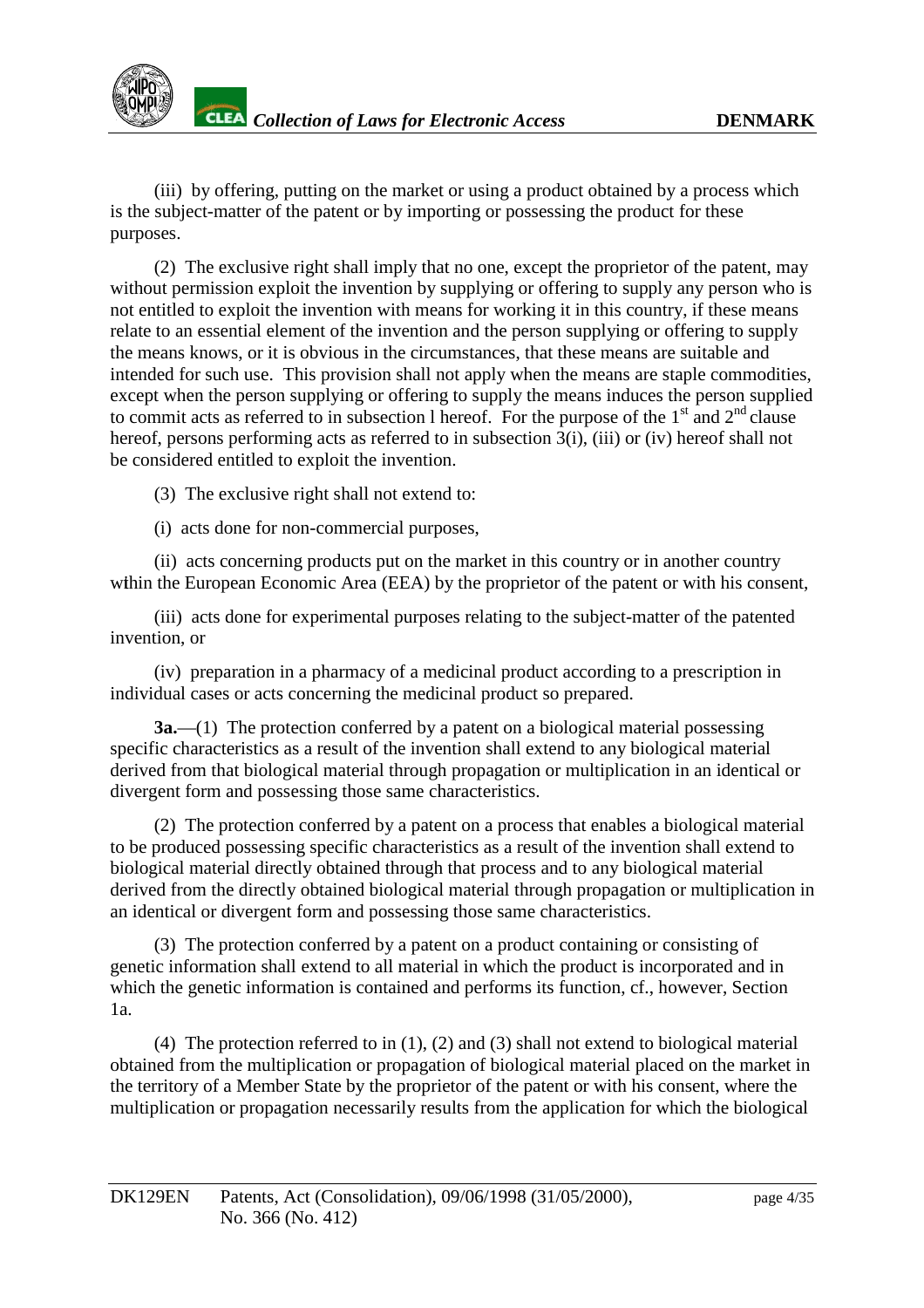

(iii) by offering, putting on the market or using a product obtained by a process which is the subject -matter of the patent or by importing or possessing the product for these purposes.

(2) The exclusive right shall imply that no one, ex cept the proprietor of the patent, may without permission exploit the invention by supplying or offering to supply any person who is not entitled to exploit the invention with means for working it in this country, if these means relate to an essential elem entof the invention and the person supplying or offering to supply the means knows, or it is obvious in the circumstances, that these means are suitable and intended for such use. This provisions hall not apply when the means are staple commodities, except when the person supplying or offering to supply the means induces the person supplied to commitacts as referred to insubsection thereof. For the purpose of the 1 st and 2  $^{\text{nd}}$  clause hereof, persons performing acts as referred to in subsection 3(i), (ii i) or (iv) hereof shall not be considered entitled to exploit the invention.

(3) The exclusive rightshall not extend to:

(i) acts done for non -commercial purposes,

(ii) acts concerning products put on the market in this country or in another country within the European Economic Area (EEA) by the proprietor of the patent or with his consent,

(iii) acts done for experimental purposes relating to the subject -matter of the patented invention, or

 $(iv)$  preparation in a pharmacy of a medicinal product accord ing to a prescription in individual cases or acts concerning the medicinal products oprepared.

**3a.**—(1) The protection conferred by a patent on a biological material possessing specific characteristics as a result of the inventions hall extend to any biol ogical material derived from that biological material through propagation or multiplication in an identical or divergent form and possessing thoses a mechanical erristics.

(2) The protection conferred by a patent on a process that enables a biological materi all to be produced possessing specific characteristics as a result of the inventions hall extend to biological material directly obtained through that process and to any biological material derived from the directly obtained biological material through prop agation or multiplication in an identical or divergent form and possessing those same characteristics.

(3) The protection conferred by a patent on a product containing or consisting of genetic information shall extend to all material in which the product is incorporated and in which the genetic information is contained and performs its function, cf., however, Section 1a.

 $(4)$ The protection referred to in  $(1)$ ,  $(2)$  and  $(3)$  shall not extend to biological material obtained from the multiplication or propagati on of biological material placed on the market in the territory of a Member State by the proprietor of the patent or with his consent, where the multiplication or propagation necessarily results from the application for which the biological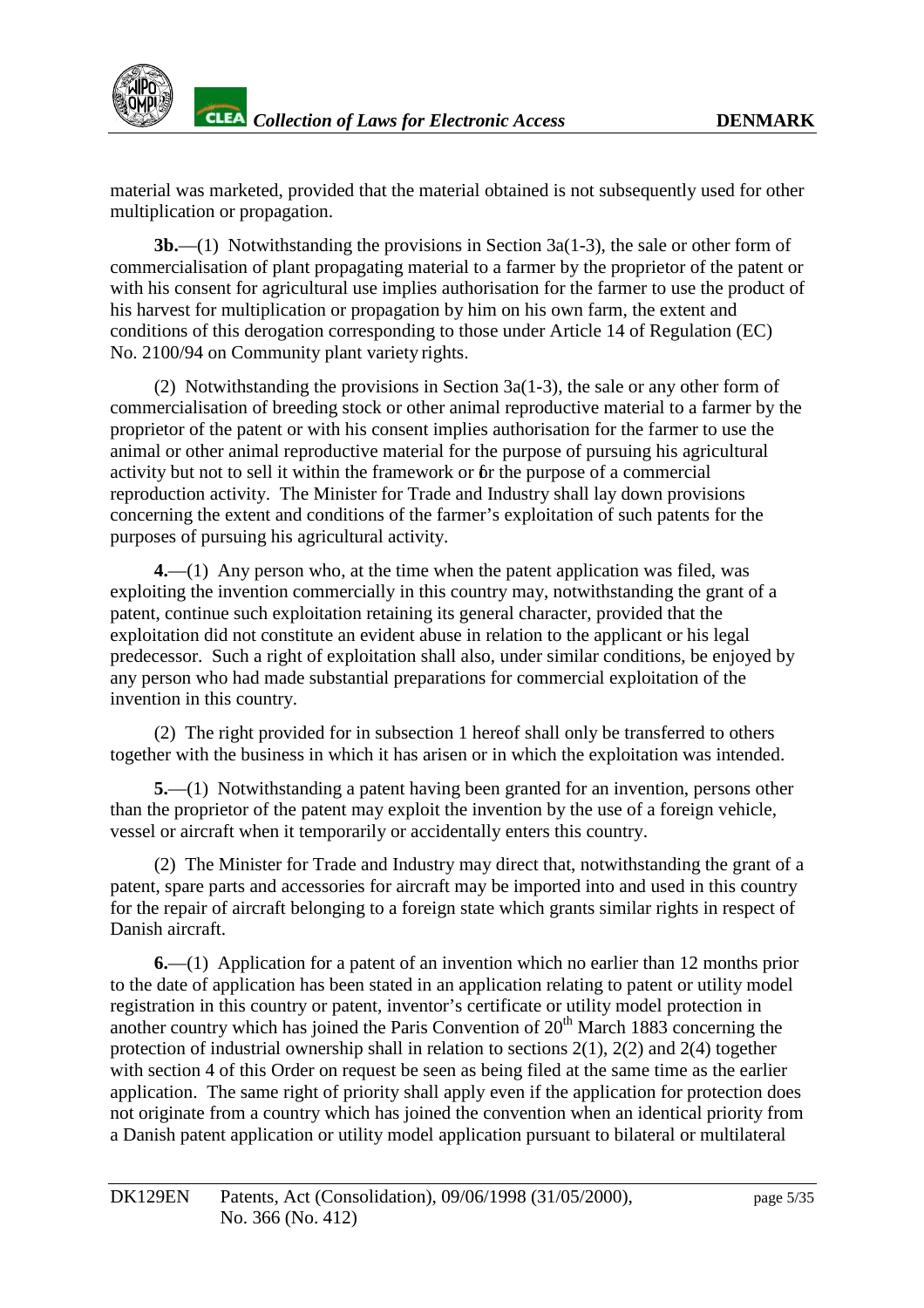material was ma rketed, provided that the material obtained is not subsequently used for other multiplication or propagation.

**3b.**—(1) Notwithstanding the provisions in Section 3a(1 -3), the sales or other form of commercialisation of plant propagating material to a farmer by the proprietor of the patent or with his consent for agricultural use implies authorisation for the farmer to use the product of his harvest for multiplication or propagation by him on his own farm, the extent and conditions of this derogation correspon ding to those under Article 14 of Regulation (EC) No. 2100/94 on Community plant variety rights.

 $(2)$  Notwithstanding the provisions in Section 3a(1  $-3$ ), the sale or any other form of commercialisation of breedings to ckorother animal reproductive material to a farmer by the proprietor of the patent or with his consent implies authorisation for the farmer to use the animal or other animal reproductive material for the purpose of pursuing his agricultural activity but not to sell it within the framework or for the purpose of a commercial reproduction activity. The Minister for Trade and Industry shall laydown provisions concerning the extent and conditions of the farmer's exploitation of such patents for the purposes of pursuing his agricultural activity.

**4.**—(1) Any person who, at the time when the patent application was filed, was exploiting the invention commercially in this country may, not with standing the grant of a patent, continue such exploitation retaining its general character, provided that the exploitation did not constitute an evident abuse in relation to the applicant or his legal predecessor. Such a right of exploitationshall also, under similar conditions, been joyed by any person who had mades ubstantial preparations for commercial exploita tion of the invention in this country.

(2) The right provided for in subsection 1 hereof shall only be transferred to others together with the business in which it has arise nor in which the exploitation was intended.

**5.**—(1) Notwithstanding a patent havi ng been granted for an invention, persons other than the proprietor of the patent may exploit the invention by the use of a foreign vehicle, vessel or aircraft when it temporarily or accidentally enters this country.

(2) The Minister for Trade and Industr wrav direct that, notwithstanding the grant of a patent, spare parts and accessories for aircraft may be imported into and used in this country for the repair of aircraft belonging to a foreign state which grants similar rights in respect of Danishaircra ft.

**6.**—(1) Application for a patent of an invention which no earlier than 12 months prior to the date of application has been stated in an application relating to patent or utility model registration in this country or patent, inventor's certificate or utility model protection in<br>another country which has joined the Paris Convention of 20 the March 1883 concerning the another country which has joined the Paris Convention of 20 protection of industrial ownerships hall in relation to sections  $2(1)$ ,  $2(2)$  and  $2(4)$  to gether with section 4 of this Order on request be seen as being filed at the same time as the earlier application. The same right of priority shall apply even if the application for protection does notoriginate from a country which has joined the convention when an identical priority from a Danish patent app lication or utility model application pursuant to bilateral or multilateral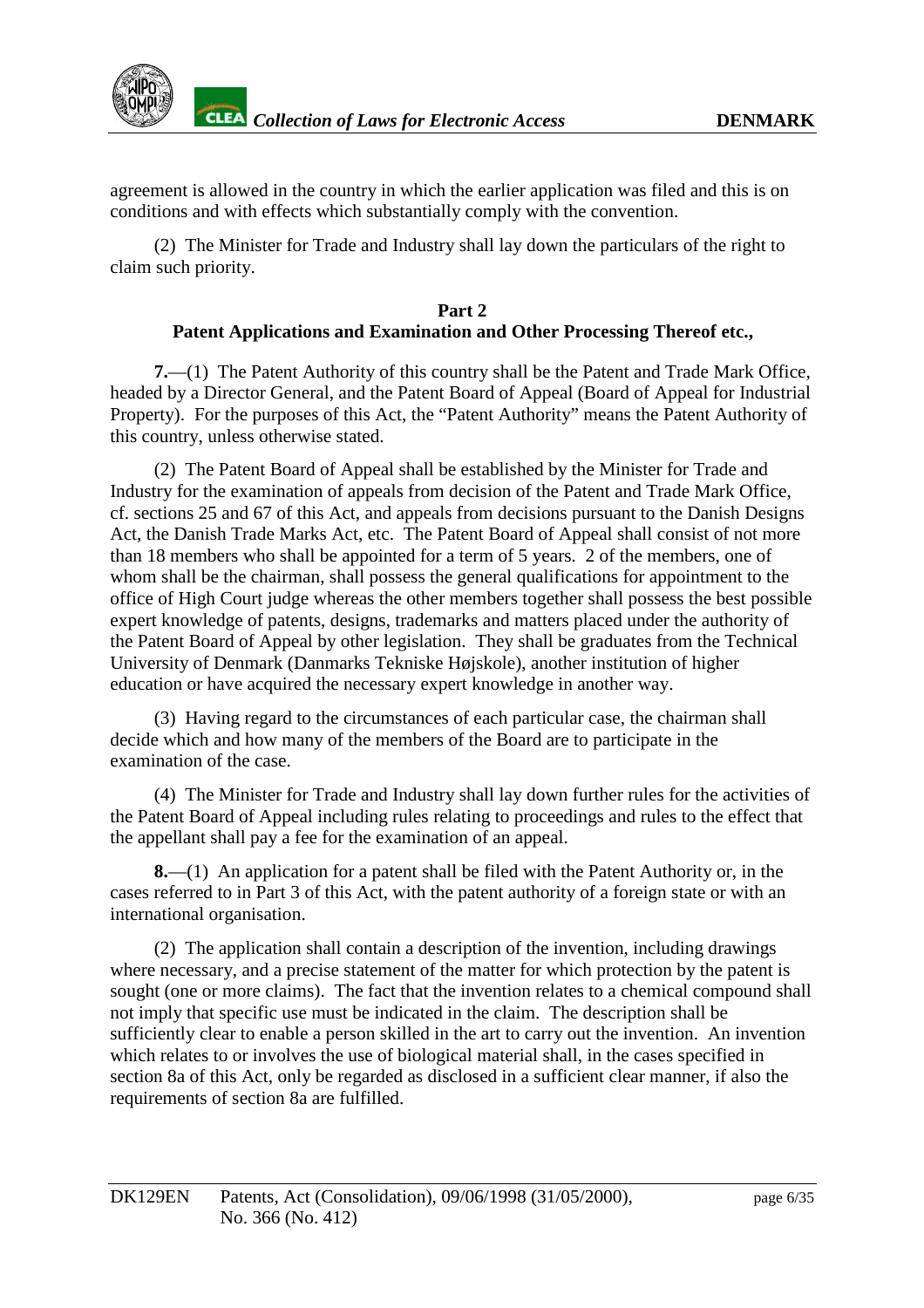agreement is allowed in the country in which the earlier application was filed and this is on conditions and with effects which substantially comply with the convention.

(2) The M inister for Trade and Industry shall laydown the particulars of the right to claim such priority.

#### Part<sub>2</sub> **Patent Applications and Examination and Other Processing Thereofetc.,**

**7.**—(1) The Patent Authority of this country shall be the Patent and Trade Mark Office, headed by a Director General, and the Patent Board of Appeal (Board of Appeal for Industrial Property). For the purposes of this Act, the "Patent Authority" means the Patent Authority of this country, unless otherwise stated.

(2) The Patent Boar dof Appealshall be established by the Minister for Trade and Industry for the examination of appeals from decision of the Patent and Trade Mark Office, cf. sections 25 and 67 of this Act, and appeals from decisions pursuant to the Danish Designs Act, the Danish Trade Marks Act, etc. The Patent Board of Appealshall consist of not more than 18 members who shall be appointed for a term of 5 years. 2 of the members, one of whom shall be the chairman, shall possess the general qualifications for appointment to the office of High Court judge whereas the other members to gether shall possess the best possible expert knowledge of patents, designs, trademarks and matters placed under the authority of the Patent Board of Appeal by other legislation. The yshall be graduates from the Technical University of Denmark (Danmarks Tekniske Højskole), another institution of higher education or have acquired the necessary expert knowledge in another way.

(3) Having regard to the circumstances of each particular case, the c hairman shall decide which and how many of the members of the Board are to participate in the examination of the case.

(4) The Minister for Trade and Industry shall lay down further rules for the activities of the Patent Board of Appeal including rules reduceding to the patent of the Patent Board of Appeal including rules re the appellant shall pay a fee for the examination of an appeal.

**8.**—(1) An application for a patent shall be filed with the Patent Authority or, in the cases referred to in Part 3 of this Act, with the pat entauthority of a foreign state or with an international organisation.

(2) The application shall contain a description of the invention, including drawings where necessary, and a precise statement of the matter for which protection by the patent is sought (one or more claims). The fact that the invention relates to a chemical compounds hall notimply that specific use must be indicated in the claim. The description shall be sufficiently clear to enable a person skilled in the art to carry out the invention ion. An invention which relates to or involves the use of biological materialshall, in the cases specified in section 8a of this Act, only be regarded as disclosed in a sufficient clear manner, if also the requirements of section 8 aareful filled.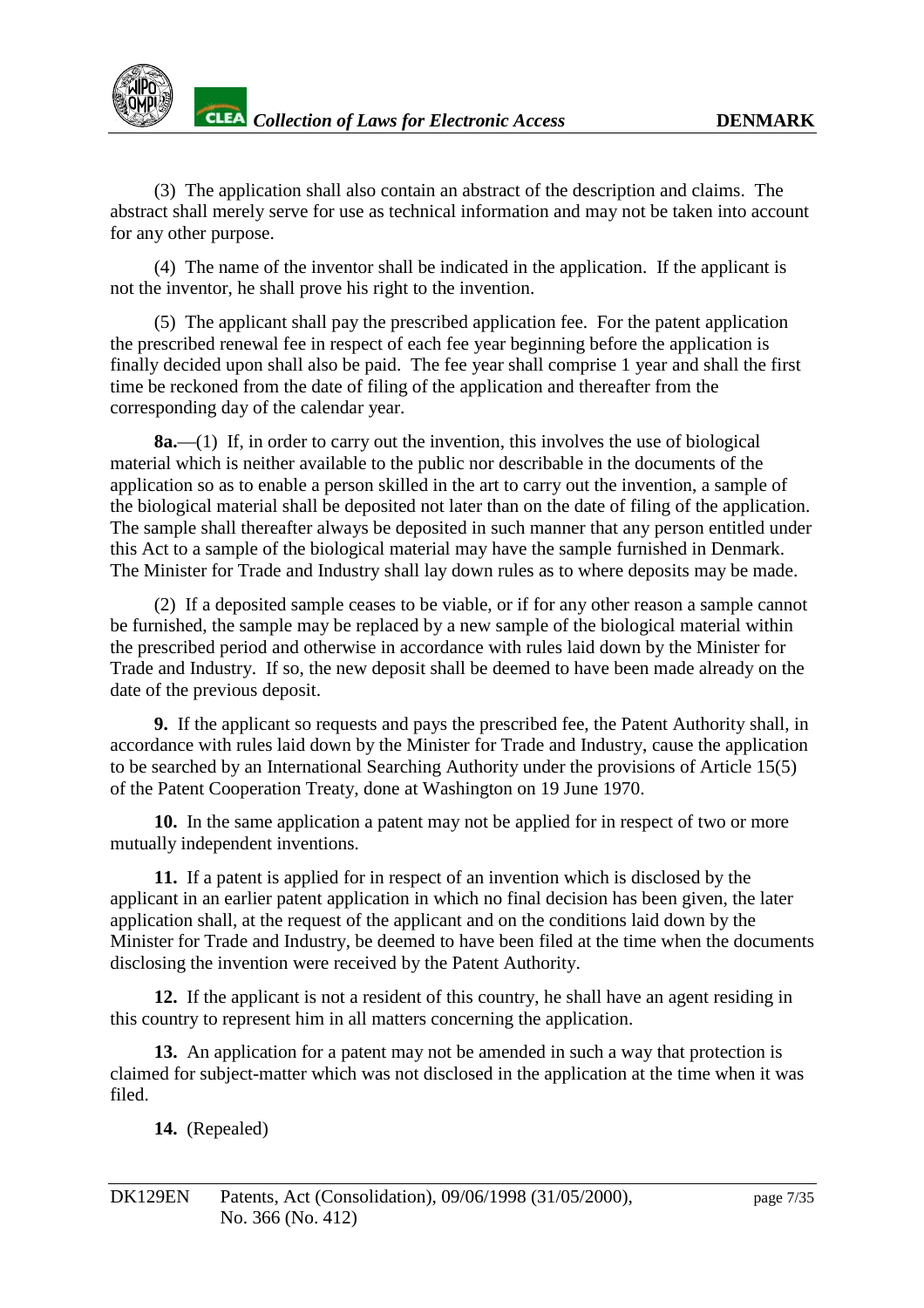

(3) T he application shall also contain an abstract of the description and claims. The abstractshall merely serve for use as technical information and may not be taken into account for any other purpose.

(4) The name of the inventor shall be indicated in the application. If the applicant is not the inventor, he shall prove his right to the invention.

(5) The applicant shall pay the prescribed application fee. For the patent application the prescribed renewal fee in respect of each fee year beginning before the application is finally decided upon shall also be paid. The fee yearshall comprise 1 year and shall the first time be reckoned from the date of filing of the application and the reafter from the corresponding day of the calendary ear.

**8a.**—(1) If, in order to carry out the invention, this involves the use of biological material which is neither available to the public nordes cribable in the documents of the application so as to enable a person skilled in the art to carry out the invention, as ample of the biological materialshall be deposited not later than on the date of filing of the application. The sample shall thereafter always bedeposited in such manner that any person entitled under this Act to a sample of the biological material may have the sample furnished in Denmark. The Minister for Trade and Industry shall lay down rules as to where deposits may be made.

(2) If a deposited sample ceases to be viable, or if for any other reason as ample cannot be furnished, the sample may be replaced by a new sample of the biological material within the prescribed period and otherwise in accordance with rules laiddown by the Minister for Trade and Industry. If so, the new deposit shall be deemed to have been made already on the date of the previous depo sit.

**9.** If the applicants or equests and pays the prescribed fee, the Patent Authority shall, in accordance with rules laid down by the Minister for Trade and Industry, cause the application to be searched by an International Searching Authority under the provisions of Article 15(5) of the Patent Cooperation Treaty, done at Washington on 19 June 1970.

10. In the same application a patent may not be applied for inrespect of two or more mutually independent inventions.

**11.** If a patentisapplied for inre spect of an invention which is disclosed by the applicant in an earlier patent application in which no final decision has been given, the later application shall, at the request of the applicant and on the conditions laid down by the Ministerfor Trade and Industry, be deemed to have been filed at the time when the documents disclosing the invention were received by the Patent Authority.

**12.** If the applicant is not a resident of this country, he shall have an agent residing in this country to represent him in all matters concerning the application.

**13.** An application for a patent may not be a mended in such a way that protection is claimed for subject -matter which was not disclosed in the application at the time when it was filed.

**14.** (Repealed)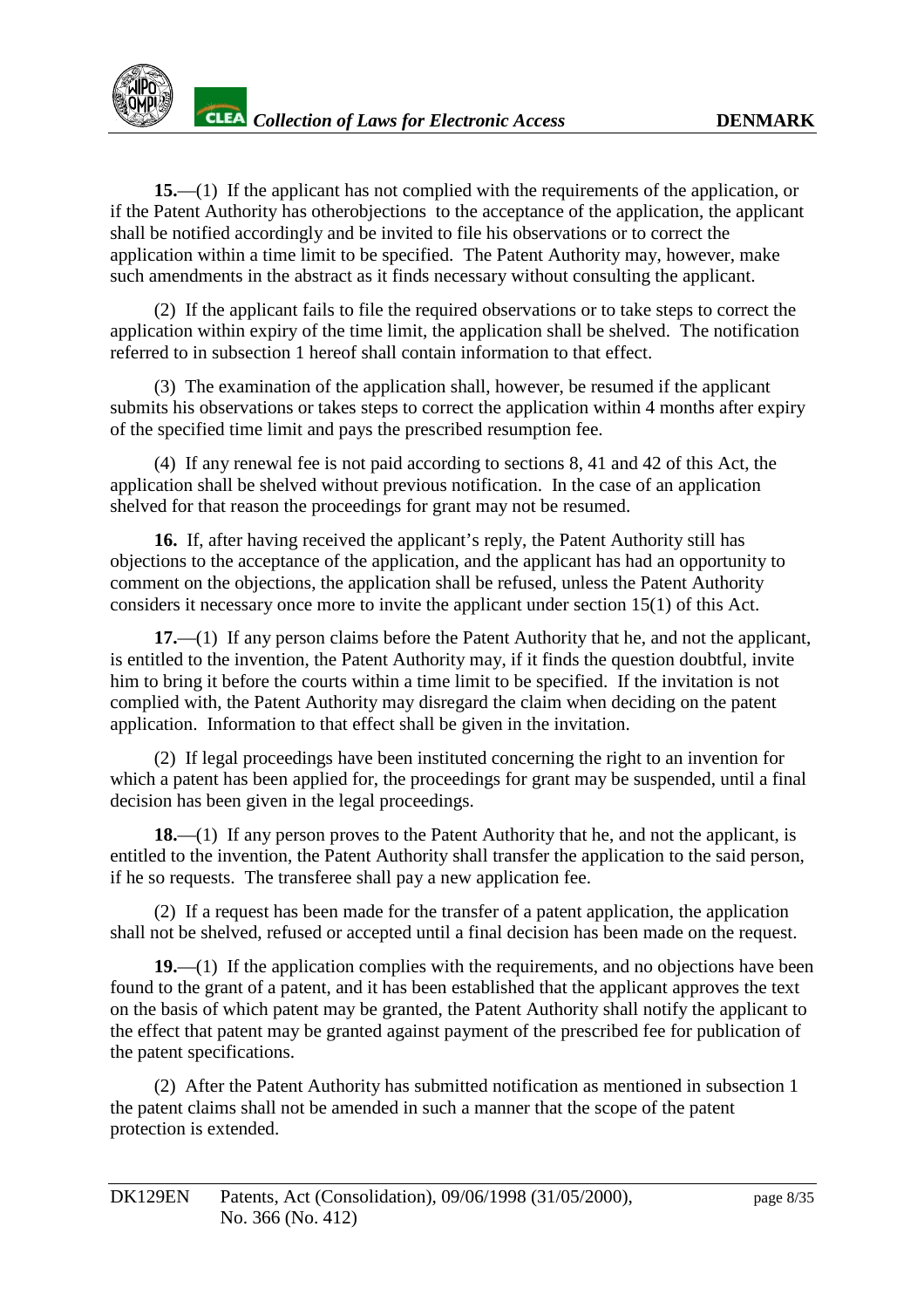**15.**—(1) I fthe applicant has not complied with the requirements of the application, or if the Patent Authority has other objections to the acceptance of the application, the applicant shall be notified according ly and be invited to file his observations or to corre ct the application within a time limit to be specified. The Patent Authority may, however, make such amendments in the abstract as it finds necessary without consulting the applicant.

(2) If the applicant fails to file the required observations or to tak esteps to correct the application within expiry of the time limit, the application shall be shelved. The notification referred to insubsection 1 hereof shall contain information to that effect.

(3) The examination of the application shall, however, be resumed if the applicant submits his observations or takes steps to correct the application within 4 months after expiry of the specified time limit and pays the prescribed resumption fee.

(4) If any renewal fee is not paid according to sections 8, 41 and 42 of this Act, the application shall be shelved without previous notification. In the case of an application shelved for that reason the proceedings for grant may not be resumed.

**16.** If, after having received the applicant's reply, the Patent Authority still has objections to the acceptance of the application, and the applicant has had an opportunity to comment on the objections, the application shall be refused, unless the Patent Authority considers it necessary once more to invite the applicant under section 15(1) of this Act.

**17.**—(1) If any personclaims before the Patent Authority that he, and not the applicant, is entitled to the invention, the Patent Authority may if it finds the question doubtful, invite him to bring it before the courts within a time limit to be specified. If the invitation is not complied with, the Patent Authority may disregard the claim when deciding on the patent application. Information to that effects hall be given in the invitation.

(2) If legal proceedings have been i nstituted concerning the right to an invention for which a patent has been applied for, the proceedings for grant may be suspended, until a final decision has been given in the legal proceedings.

**18.**—(1) If any person proves to the Patent Authority that h e, and not the applicant, is entitled to the invention, the Patent Authority shall transfer the application to the said person, if he sorequests. The transferees hall pay a new application fee.

(2) If a request has been made for the transfer of a patent application, the application shall not be shelved, refused or accepted until a final decision has been made on the request.

**19.**—(1) If the application complies with the requirements, and no objections have been found to the grant of a patent, and it has been established that the applicant approves the text on the basis of which patent may be granted, the Patent Authority shall notify the applicant to the effect that patent may be granted against payment of the prescribed fee for publication of the patent specifications.

(2) After the Patent Authority has submitted notification as mentioned in subsection 1 the patent claims shall not be a mended in such a manner that the scope of the patent protection is extended.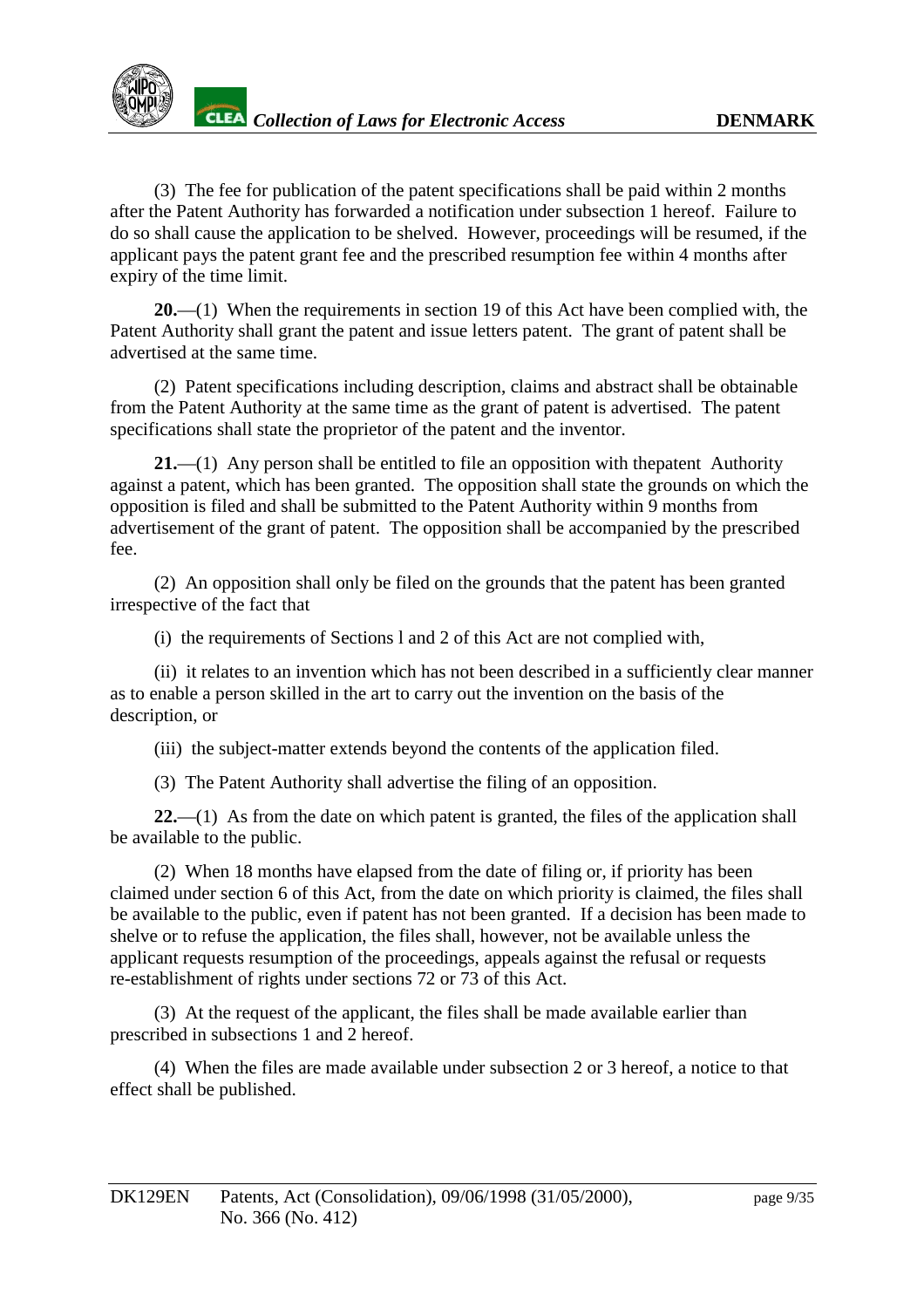

(3) The fee for publication of the patent specifications shall be paid within 2 months after the Patent Authority has forwarded a notification under subsection 1 hereof. Failure to doso shall cause the application to be shelved. However, proceedings will be resumed, if the applicant pays the pa tent grant fee and the prescribed resumption fee within 4 months after expiry of the time limit.

**20.**—(1) When the requirements in section 19 of this Act have been complied with, the Patent Authority shall grant the patent and issue letter spatent. The gr ant of patent shall be advertised at the same time.

(2) Patent specifications including description, claims and abstract shall be obtainable from the Patent Authority at the same time as the grant of patent is advertised. The patent specifications shall state the proprietor of the patent and the inventor.

**21.**—(1) Any personshall be entitled to file an oppositi on with the patent Authority againstapatent, which has been granted. The opposition shall state the grounds on which the opposition is filed an d shall be submitted to the Patent Authority within 9 months from advertisement of the grant of patent. The opposition shall be accompanied by the prescribed fee.

(2) Anopposition shall only be filed on the grounds that the patent has been granted irrespective of the fact that

(i) the requirements of Sections land 2 of this Act are not complied with,

(ii) it relates to an invention which has not been described in a sufficiently clear manner asto enable a person skilled in the art to carry out the inv ention on the basis of the description, or

(iii) the subject-matter extends beyond the contents of the application filed.

(3) The Patent Authority shall advertise the filing of an opposition.

22.—(1) As from the date on which patent is granted, the file softhe application shall be available to the public.

(2) When 18 months have elapsed from the date of filing or, if priority has been claimed under section 6 of this Act, from the date on which priority is claimed, the files shall be available to the pu blic, even if patent has not been granted. If a decision has been made to shelve or to refuse the application, the files shall, however, not be available unless the applicant requests resumption of the proceedings, appeals against the refusal or requests re-establishment of rights under sections 72 or 73 of this Act.

(3) At the request of the applicant, the files shall be made available earlier than prescribed in subsections 1 and 2 hereof.

(4) When the files are made available under subsection 2 or 3 he reof, a notice to that effectshall be published.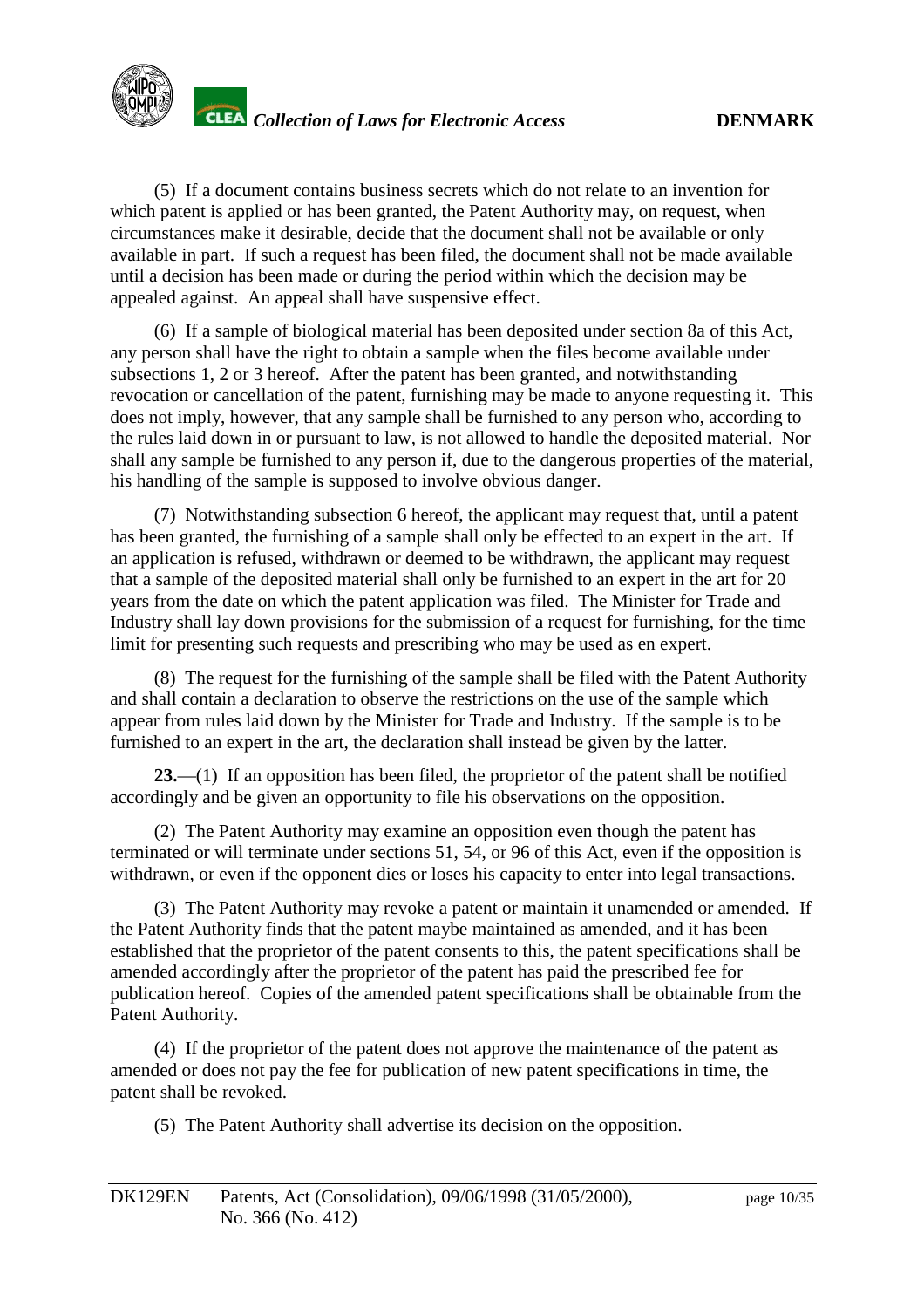(5) If a document contains business secrets which do not relate to an invention for which patent is applied or has been granted, the Patent Authority may, on request, when circumstances make it desirable, decide that the document shall not be available or only available in part. If such a request has been filed, the document shall not be made available until a decision has been made or during the period within which the decision may be appealed against. A nappealshall have suspensive effect.

(6) If a sample of biological material has been deposited under section 8a of this Act, any person shall have the right to obtain a sample when the files become available under subsections 1.2 or 3 hereof. After the epatent has been granted, and not with standing revocation or cancellation of the patent, furnishing may be made to anyone requesting it. This does not imply, however, that any sample shall be furnished to any person who, according to the rules laid down i norpursuant to law, is not allowed to handle the deposited material. Nor shall any sample be furnished to any person if, due to the dangerous properties of the material, his handling of the sample is supposed to involve obvious danger.

(7) Notwithstand ingsubsection 6 hereof, the applicant may request that, until a patent has been granted, the furnishing of a sample shall only be effected to an expert in the art. If an application is refused, withdrawn or deemed to be withdrawn, the applicant may reque st that as ample of the deposited materialshall only be furnished to an expert in the art for 20 years from the date on which the patent application was filed. The Minister for Trade and Industry shall laydown provisions for the submission of a request for furnishing, for the time limit for presenting such requests and prescribing who may be used as enexpert.

(8) The request for the furnishing of the sample shall be filed with the Patent Authority and shall contain a declaration to observe the restrict ions on the use of the sample which appear from rules laid down by the Minister for Trade and Industry. If the sample is to be furnished to an expert in the art, the declaration shall instead be given by the latter.

23.—(1) If an opposition has been file d, the proprietor of the patent shall be notified accordingly and be given an opportunity to file his observations on the opposition.

(2) The Patent Authority may examine an opposition even though the patent has terminated or will terminate under sections 51,54, or 96 of this Act, even if the opposition is withdrawn, or even if the opponent dies or loses his capacity to enter into legal transactions.

(3) The Patent Authority may revoke a patent or maintain it unamended or amended. If the Patent Authorit y finds that the patent may be maintained as amended, and it has been established that the propriet or of the patent consents to this, the patent specifications shall be amended accordingly after the proprietor of the patent has paid the prescribed fee for publication hereof. Copies of the amended patent specifications shall be obtainable from the Patent Authority.

(4) If the proprietor of the patent does not approve the maintenance of the patent as amended or does not pay the fee for publication of new pat entspecifications in time, the patent shall be revoked.

(5) The Patent Authority shall advertise its decision on the opposition.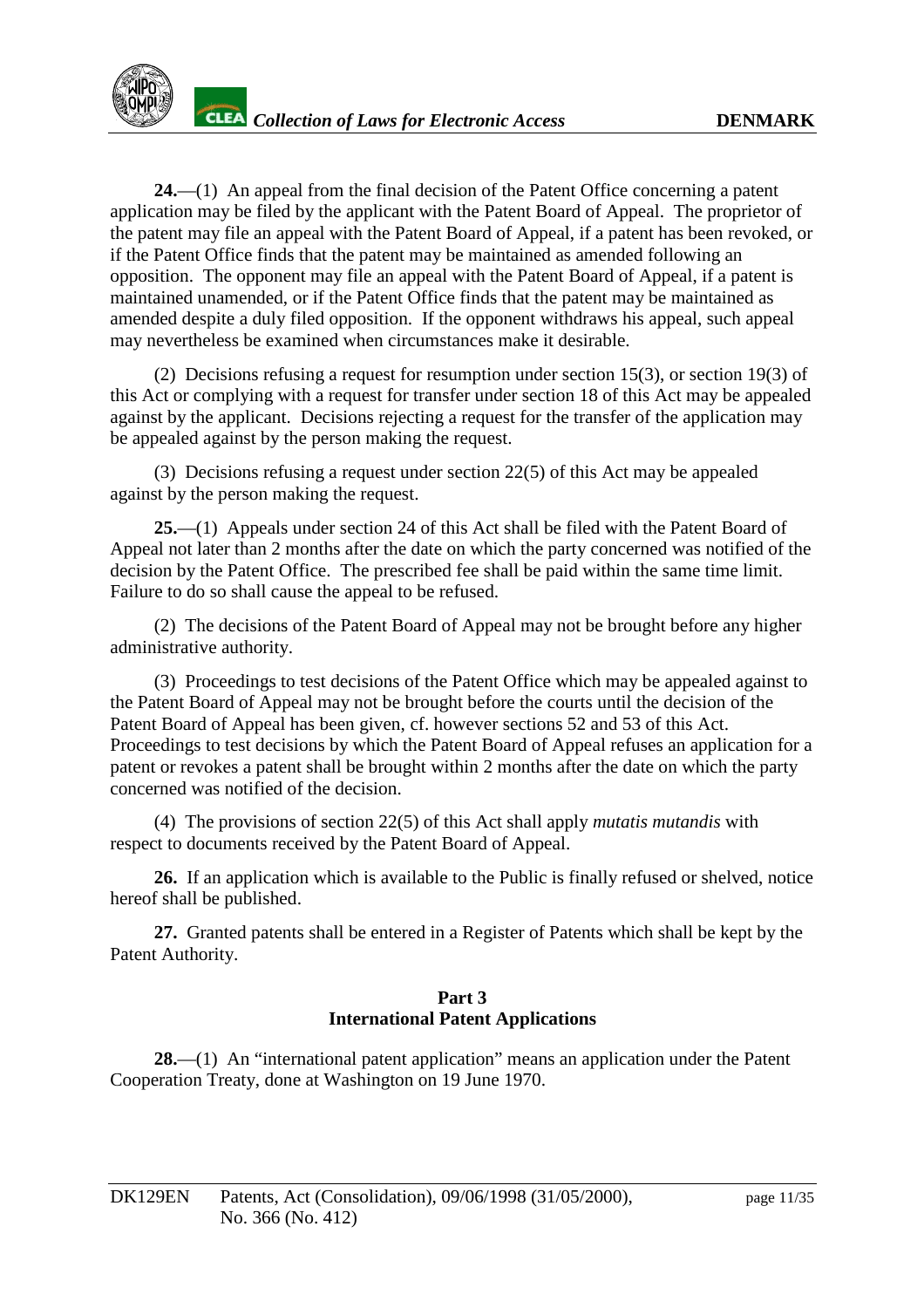**24.**—(1) An appeal from the final decision of the Patent Office concerning a patent application may be filed by the applicant with the Patent Board of Appeal. The propriet or of the patent may file an appeal with the Patent Board of Appeal, if a patent has been revoked, or if the Patent Office finds that the patent may be maintained as amended following an opposition. The oppon ent may file an appeal with the Patent Board of Appeal, if a patent is maintained unamended, orif the Patent Office finds that the patent may be maintained as amended despite a duly filed opposition. If the opponent withdraws his appeal, such appeal may nevertheless be examined when circumstances make it desirable.

 $(2)$  Decisions refusing a request for resumption under section 15(3), or section 19(3) of this Actor complying with a request for transfer under section 18 of this Act may be appealed against by the applicant. Decisions rejecting a request for the transfer of the application may be appealed against by the person making the request.

 $(3)$  Decisions refusing a request under section 22(5) of this Act may be appealed against by the person making the request.

25.—(1) Appeals under section 24 of this Act shall be filed with the Patent Board of Appeal not later than 2 months after the date on which the party concerned was notified of the decision by the Patent Office. The prescribed feeshall be paid within the same time limit. Failure to do so shall cause the appeal to be refused.

(2) The decisions of the Patent Board of Appeal may not be brought before any higher administrative authority.

(3) Proceedings to test decisions of the Patent Office whi ch may be appealed against to the Patent Board of Appeal may not be brought before the courts until the decision of the Patent Board of Appeal has been given, cf. however sections 52 and 53 of this Act. Proceedings to test decisions by which the Patent Bo ard of Appeal refuses an application for a patent or revokes a patent shall be brought within 2 months after the date on which the party concerned was notified of the decision.

(4) The provisions of section 22(5) of this Act shall apply *mutatis mutandis* w ith respecttodocuments received by the Patent Board of Appeal.

26. If an application which is available to the Public is finally refused or shelved, notice hereof shall be published.

**27.** Granted patents shall be entered in a Register of Patents which s hall be kept by the Patent Authority.

#### **Part 3 International Patent Applications**

**28.**—(1) An "international patent application" means an application under the Patent Cooperation Treaty, done at Washington on 19 June 1970.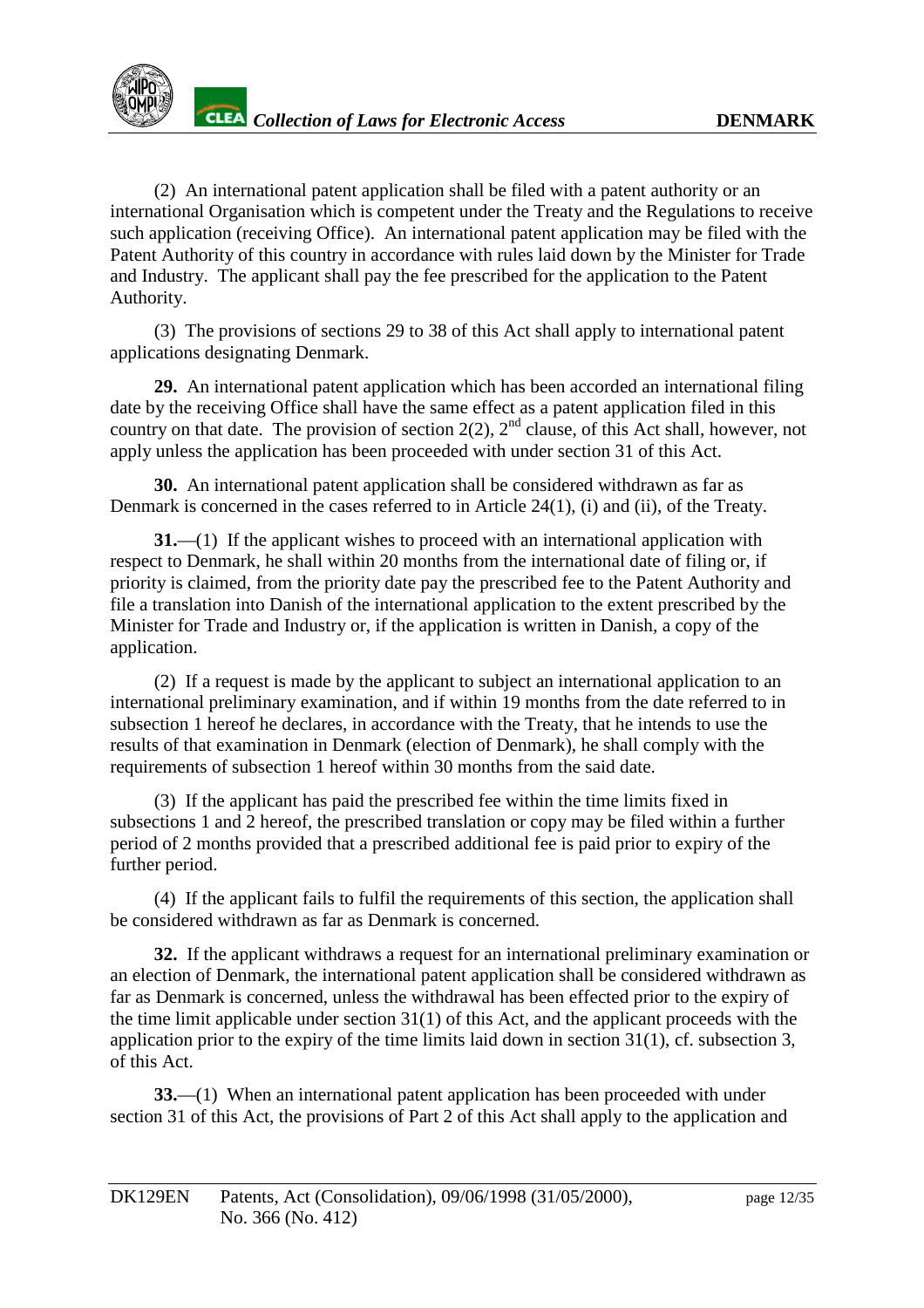

 $(2)$ An international patent applica tionshall be filed with a patent authority or an international Organisation which is competent under the Treaty and the Regulations to receive such application (receiving Office). An international patent application may be filed with the Patent Authority of this country in accordance with rules laiddown by the Minister for Trade and Industry. The applicant shall pay the fee prescribed for the application to the Patent Authority.

(3) The provisions of sections 29 to 38 of this Act shall apply to interna tional patent applications designating Denmark.

**29.** An international patent application which has been accorded an international filing date by the receiving Offices hall have the same effect as a patent application filed in this country on that date. Th eprovision of section  $2(2)$ ,  $2 \text{ rad}$  clause, of this Act shall, however, not apply unless the application has been proceeded with under section 31 of this Act.

**30.** An international patent applications hall be considered withdrawn as far as Denmarkis concerne din the cases referred to in Article 24(1), (i) and (ii), of the Treaty.

**31.**—(1) If the applicant wishest oproceed with an international application with respect to Denmark, he shall within 20 months from the international date of filing or, if priority is claimed, from the priority date pay the prescribed fee to the Patent Authority and file a translation into Danish of the international application to the extent prescribed by the Minister for Trade and Industry or, if the application is written in Dani sh, a copy of the application.

(2) If a requestismade by the applicant to subject an international application to an international preliminary examination, and if within 19 months from the date referred to in subsection 1 hereof he declares, in accordan ce with the Treaty, that he intends to use the results of that examination in Denmark (election of Denmark), he shall comply with the requirements of subsection 1 hereof within 30 months from the said date.

(3) If the applicant has paid the prescribed fee within the time limits fixed in subsections 1 and 2 hereof, the prescribed translation or copy may be filed within a further period of 2 months provided that a prescribed additional fee is paid prior to expiry of the furtherperiod.

(4) If the applicant fails to fulfil the requirements of this section, the application shall be considered withdrawn as far as Denmark is concerned.

**32.** If the applicant withdraws are quest for an international preliminary examination or an election of Denmark, the internatio nal patent application shall be considered withdrawn as faras Denmark is concerned, unless the withdrawal has been effected prior to the expiry of the time limit applicable under section 31(1) of this Act, and the applicant proceeds with the application p rior to the expiry of the time limits laid down in section 31(1), cf. subsection 3, ofthis Act.

**33.**—(1) When an international patent application has been proceeded with under section 31 of this Act, the provisions of Part 2 of this Acts hall apply to the application and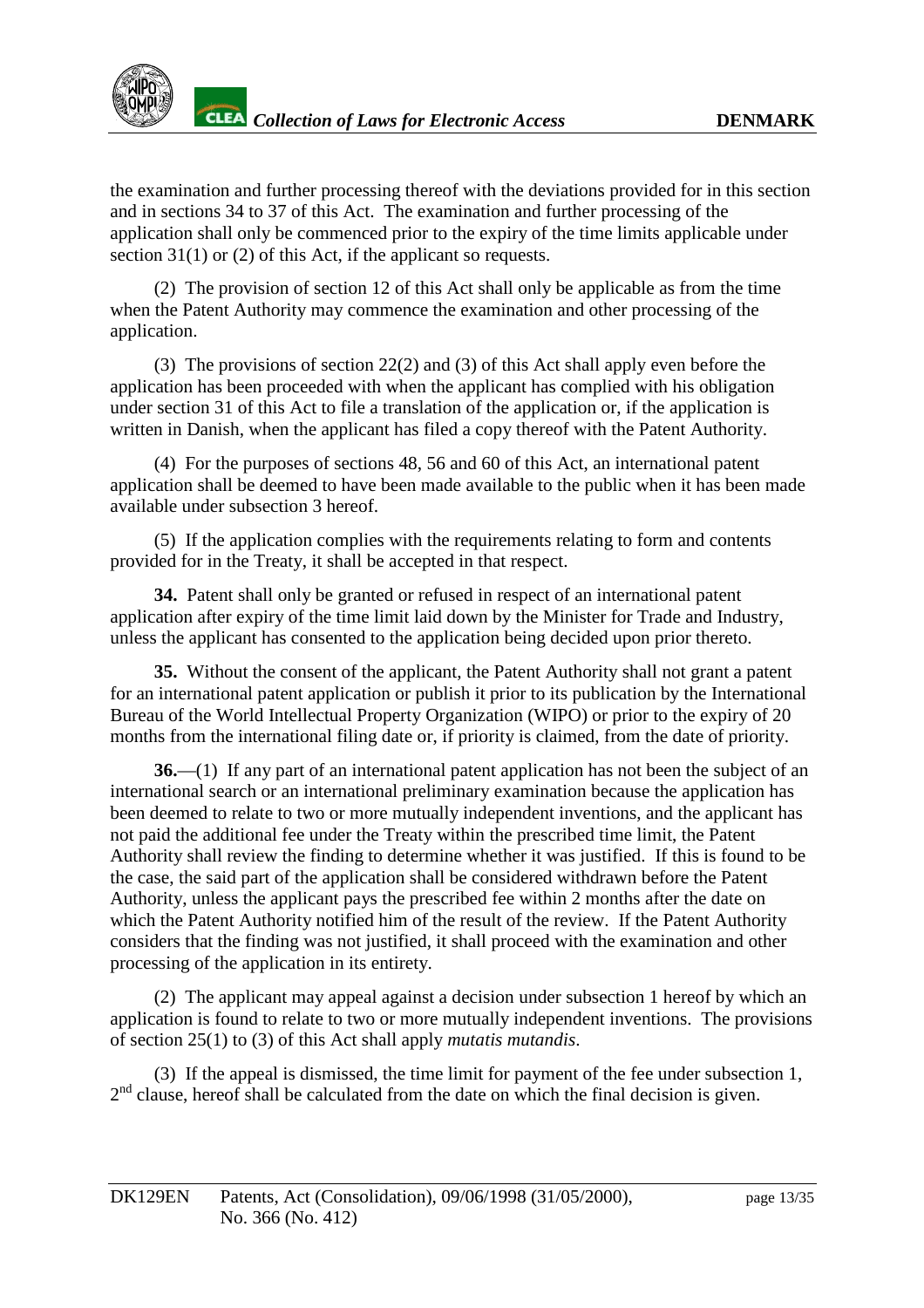

the examination and further processing thereof with the deviations provided for in this section and insections 34 to 37 of this Act. The examination and further processing of the application shall only be commenced prior to the expiry of the time limits applicable under  $section 31(1) or (2) of this Act, if the applications are the same.$ 

(2) The provision of section 12 of this Act shall only be applicable as from the time when the Patent Authority may commence the examination and other proces sing of the application.

(3) The provisions of section 22(2) and (3) of this Act shall apply even before the application has been proceeded with when the applicant has complied with his obligation under section 31 of this Act to file a translation of the application or, if the application is written in Danish, when the applicant has filed a copy thereof with the Patent Authority.

(4) For the purposes of sections 48, 56 and 60 of this Act, an international patent application shall be deemed to have been ma deavailable to the public when it has been made available under subsection 3 here of.

(5) If the application complies with the requirements relating to form and contents provided for in the Treaty, it shall be accepted in that respect.

**34.** Patent shall o nly be granted or refused in respect of an international patent application after expiry of the time limit laid down by the Minister for Trade and Industry, unless the applicant has consented to the application being decided upon prior thereto.

**35.** Withou the consent of the applicant, the Patent Authority shall not grant a patent for an international patent application or publishit prior to its publication by the International Bureau of the World Intellectual Property Organization (WIPO) or prior to the expiry of 20 months from the international filing date or, if priority is claimed, from the date of priority.

**36.**—(1) If any part of an international patent application has not been the subject of an international search or an international preliminary ex amination because the application has been deemed to relate to two or more mutually independent inventions, and the applicant has not paid the additional fee under the Treaty within the prescribed time limit, the Patent Authority shall review the finding tode termine whether it was justified. If this is found to be the case, the said part of the application shall be considered withdrawn before the Patent Authority, unless the applicant pays the prescribed fee within 2 months after the date on which the Pat ent Authority notified him of the result of the review. If the Patent Authority considers that the finding was not justified, it shall proceed with the examination and other processing of the application in its entirety.

 $(2)$ The applicant may appeal agai nst a decision under subsection 1 hereof by which an application is found to relate to two or more mutually independent inventions. The provisions of section 25(1) to (3) of this Act shall apply *mutatis mutandis* .

(3) If the appealis dismissed, the time limit for payment of the fee under subsection 1,  $2<sup>nd</sup>$ clause, hereof shall be calculated from the date on which the final decision is given.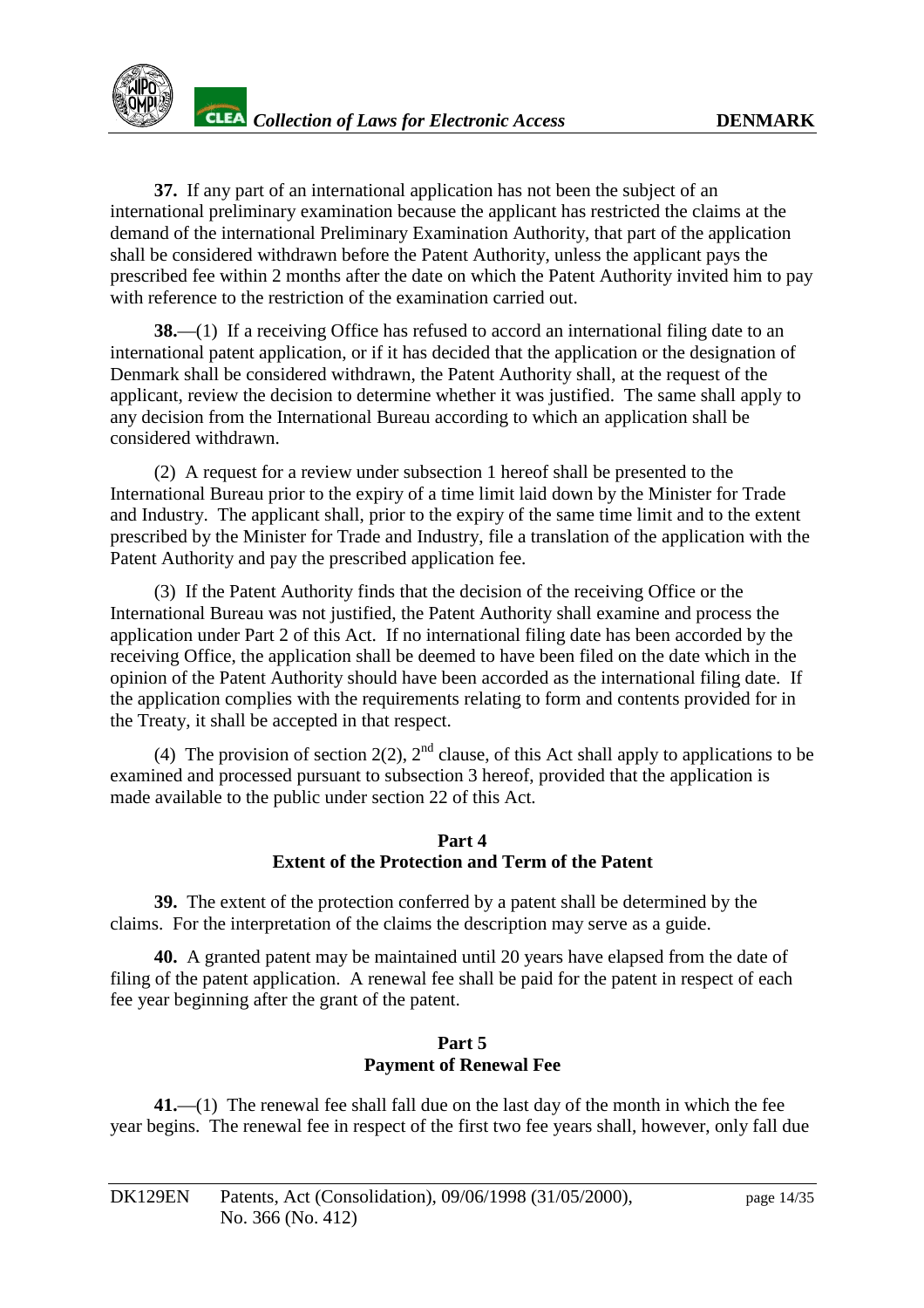

**37.** If any part of an international application has not been the subject of an international preliminary examinatio n because the applicant has restricted the claims at the demand of the international Preliminary Examination Authority, that part of the application shall be considered withdrawn before the Patent Authority, unless the applicant pays the prescribed fee wit hin 2 months after the date on which the Patent Authority invited him to pay with reference to the restriction of the examination carried out.

**38.**—(1) If a receiving Office has refused to accord an international filing date to an international patent appl ication, orifithas decided that the application or the designation of Denmark shall be considered withdrawn, the Patent Authority shall, at the request of the applicant, review the decision to determine whether it was justified. The same shall apply to any decision from the International Bureau according to which an application shall be considered withdrawn.

(2) A request for a review under subsection 1 hereof shall be presented to the International Bureau prior to the expiry of a time limit laid down by the Minister for Trade and Industry. The applicant shall, prior to the expiry of the same time limit and to the extent prescribed by the Minister for Trade and Industry, file a translation of the application with the Patent Authority and pay the prescr ibed application fee.

(3) If the Patent Authority finds that the decision of the receiving Office or the International Bureau was not justified, the Patent Authority shall examine and process the application under Part 2 of this Act. If no international filing date has been accorded by the receiving Office, the application shall be deemed to have been filed on the date which in the opinion of the Patent Authority should have been accorded as the international filing date. If the application complies with the requirements relating to form and contents provided for in the Treaty, it shall be accepted in that respect.

(4) The provision of section  $2(2)$ ,  $2<sup>nd</sup>$  clause, of this Act shall apply to applications to be examined and processed pursuant to subsection 3 hereof, provided that the application is made available to the public undersection 22 of this Act.

#### Part<sub>4</sub> **Extent of the Protection and Term of the Patent**

**39.** The extent of the protection conferred by a patent shall be determined by the claims. For the interpretation of the claims the description may serve as a guide.

**40.** A granted patent may be maintained until 20 years have elapsed from the date of filing of the patent application. A renewal feeshall be paid for the patent in respect of each fee year beginning after the grant of the patent.

#### **Part 5 PaymentofRenewalFee**

41.—(1) The renewal feeshall fall due on the last day of the month in which the fee year begins. The renewal fee in respect of the first two fee years shall, however, only fall due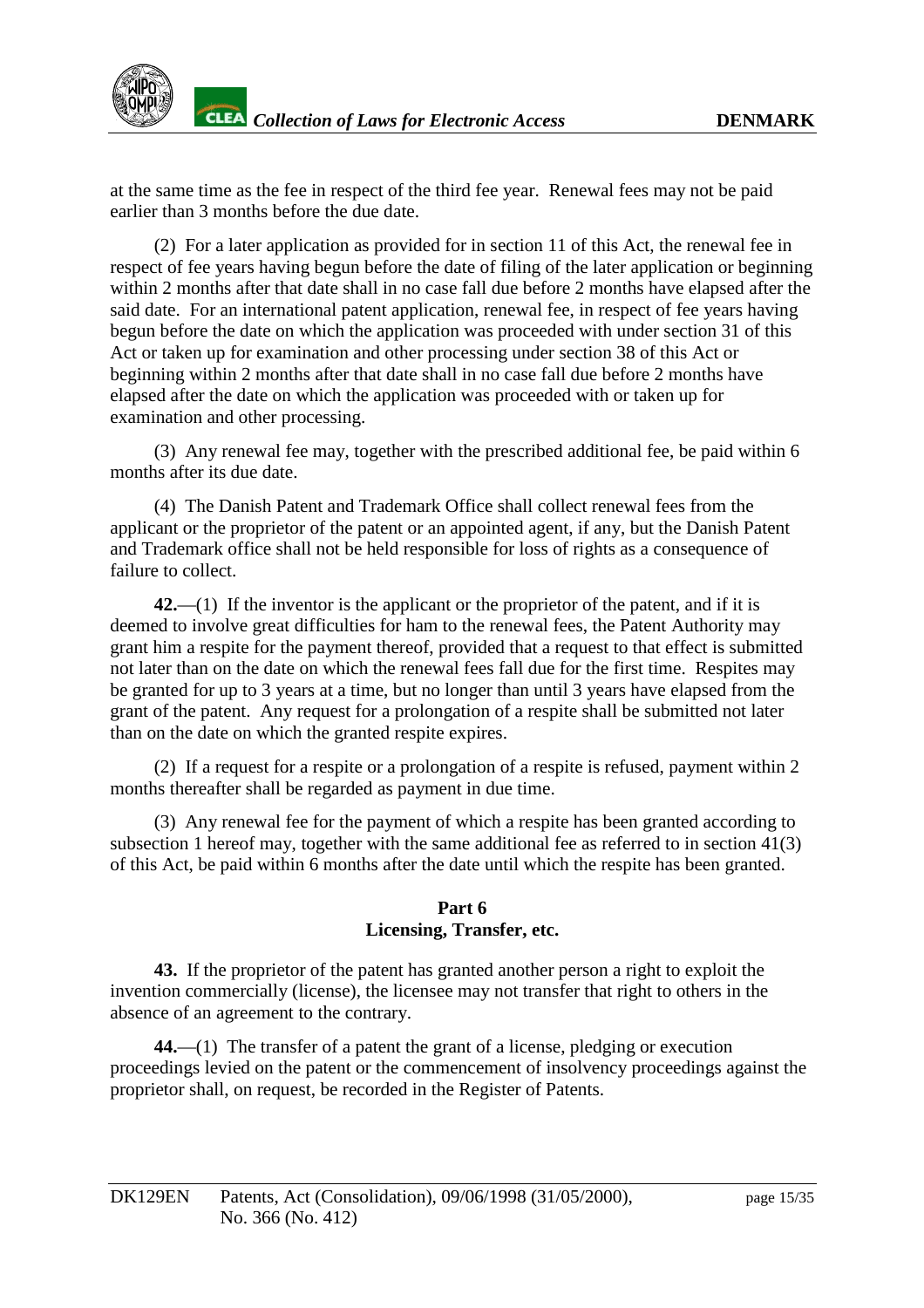

at the same time as the fee in respect of the third fee year. Renewal fees may not be paid earlierthan3months before the due date.

(2) For a later application as provided for insection 11 of this Act, the renewal fee in respect of fee years having be gun before the date of filing of the later application or beginning within 2 months after that dates hall inno case fall due before 2 months have elapsed after the said date. For an international patent application, renewal fee, in respect of fee years h aving begun before the date on which the application was proceeded with under section 31 of this Actortaken up for examination and other processing under section 38 of this Actor beginning within 2 months after that dates hall innocase fall due before 2 months have elapsed after the date on which the application was proceeded with or taken up for examination and other processing.

(3) Any renewal fee may, together with the prescribed additional fee, be paid within 6 months after its due date.

(4) The Danish Patent and Trademark Office shall collect renewal fees from the applicant or the proprietor of the patent or an appointed agent, if any, but the Danish Patent and Trademark office shall not be held responsible for loss of rights as a consequence of failure to collect.

42.—(1) If the inventoris the applicant or the propriet or of the patent, and if it is deemed to involve great difficulties for ham to the renewal fees, the Patent Authority may granthim a respite for the payment thereof, provided tha tare quest to that effect is submitted not later than on the date on which the renewal fees fall due for the first time. Respites may be granted for up to 3 years at a time, but no longer than until 3 years have elapsed from the grant of the patent. Any request for a prolongation of a respite shall be submitted not later than on the date on which the granted respite expires.

 $(2)$  If a request for a respite or a prolongation of a respite is refused, payment within 2 months thereafter shall be regarded as payment inductime.

(3) Any renewal fee for the payment of which are spite has been granted according to subsection 1 hereof may, together with the same additional feeds referred to insection 41(3) of this Act, be paid within 6 months after the date under the which the respite has been granted.

#### **Part6 Licensing, Transfer, etc.**

**43.** If the propriet or of the patent has granted another person aright to exploit the invention commercially (license), the licensee may not transfer that right to other sin the absence of an agreement to the contrary.

44.—(1) The transfer of a patent the grant of alicense, pledging or execution proceedings levied on the patent or the commencement of insolvency proceedings against the proprietor shall, on request, be recorded in the Register of Patents.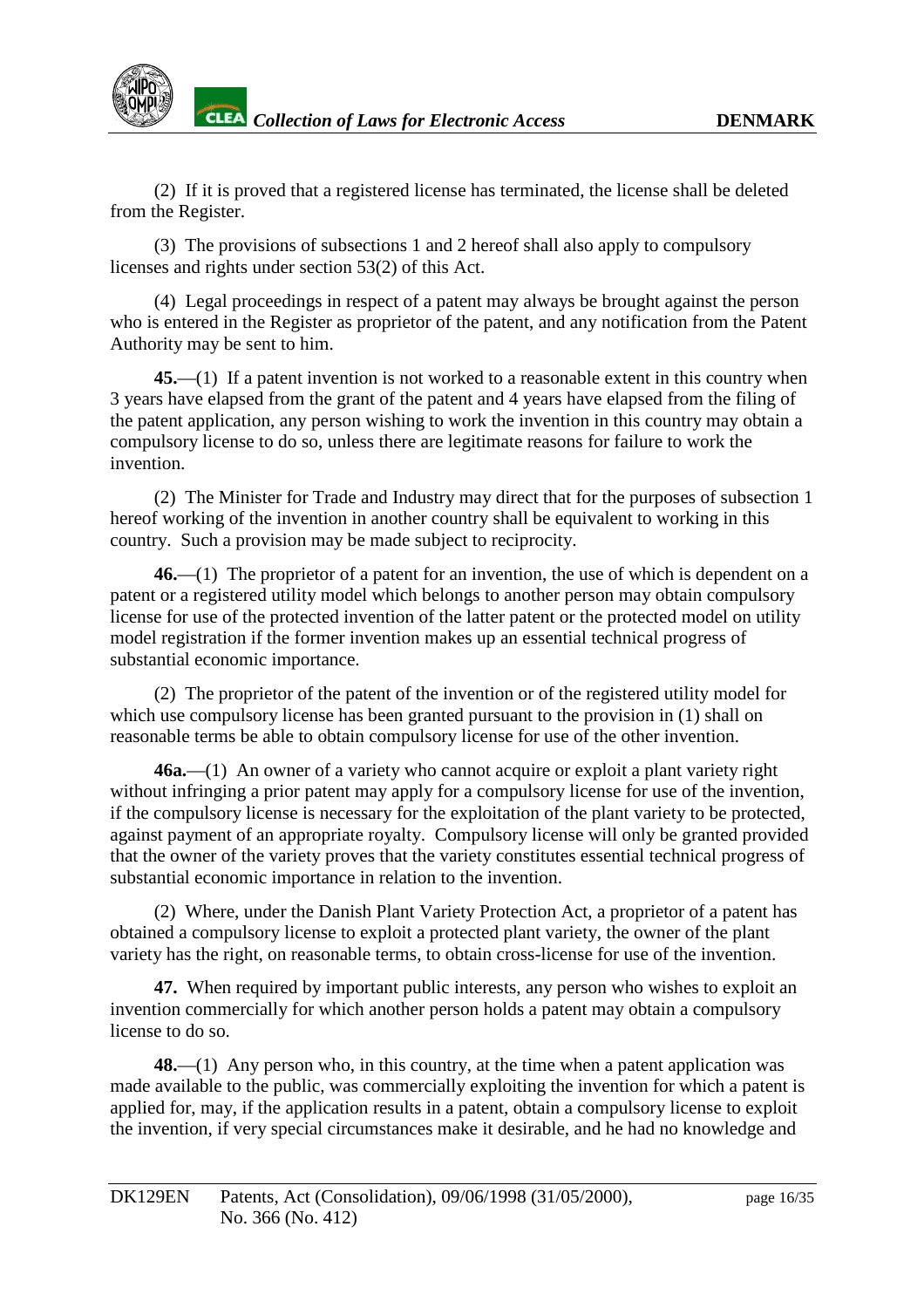(2) If it is proved that are gistered license has terminated, the licenses hall be deleted from the Register.

(3) The provisions of subsections 1 and 2 hereof shall also apply to compulsory licenses and rights under section 53(2) of this Act.

(4) Legal proceedings in respect of a patent may always be brought against the person who is entered in the Register as proprietor of the patent, and any notification from the Patent Authority may be sent to him.

**45.**—(1) If a patent invention is notworked to a reasonable extent in this country when 3 years have elapsed from the grant of the patent and 4 years have elapsed from the filing of the patent application, any person wishing to work the invention in this country may obtain a compulsorylicense to do so, unless the reare legitimate reasons for failure to work the invention.

(2) The Minister for Trade and Industry may direct that for the purposes of subsection 1 hereof working of the invention in another country shall be equivalent to wo rking in this country. Such a provision may be made subject to reciprocity.

**46.**—(1) The proprietor of a patent for an invention, the use of which is dependent on a patent or a registered utility model which belongs to another person may obtain compulsory license for use of the protected invention of the latter patent or the protected model on utility model registration if the former invention makes up an essential technical progress of substantial economic importance.

(2) The propriet or of the patent of the invention or of the registered utility model for which use compulsory license has been granted pursuant to the provision in (1) shall on reasonable terms be able to obtain compulsory license for use of the other invention.

**46a.**—(1) Anowner of a varie ty who cannot acquire or exploit a plant variety right without infringing a prior patent may apply for a compulsory license for use of the invention, if the compulsory license is necessary for the exploitation of the plant variety to be protected, against payment of an appropriate royalty. Compulsory license will only be granted provided that the owner of the variety proves that the variety constitutes essential technical progress of substantial economic importance in relation to the invention.

(2) Where, under the Danish Plant Variety Protection Act, a proprietor of a patent has obtained a compulsory license to exploit a protected plant variety, the owner of the plant variety has the right, on reasonable terms, to obtain cross electrones for use of the inventual tion.

47. When required by important public interests, any person who wishes to exploit an invention commercially for which another person holds a patent may obtain a compulsory license todoso

**48.**—(1) Any person who, in this country, at the time when a patent application was made available to the public, was commercially exploiting the invention for which a patent is applied for, may, if the application results in a patent, obtain a compulsory license to exploit the invention, if very special circumsta nces make it desirable, and he had no knowledge and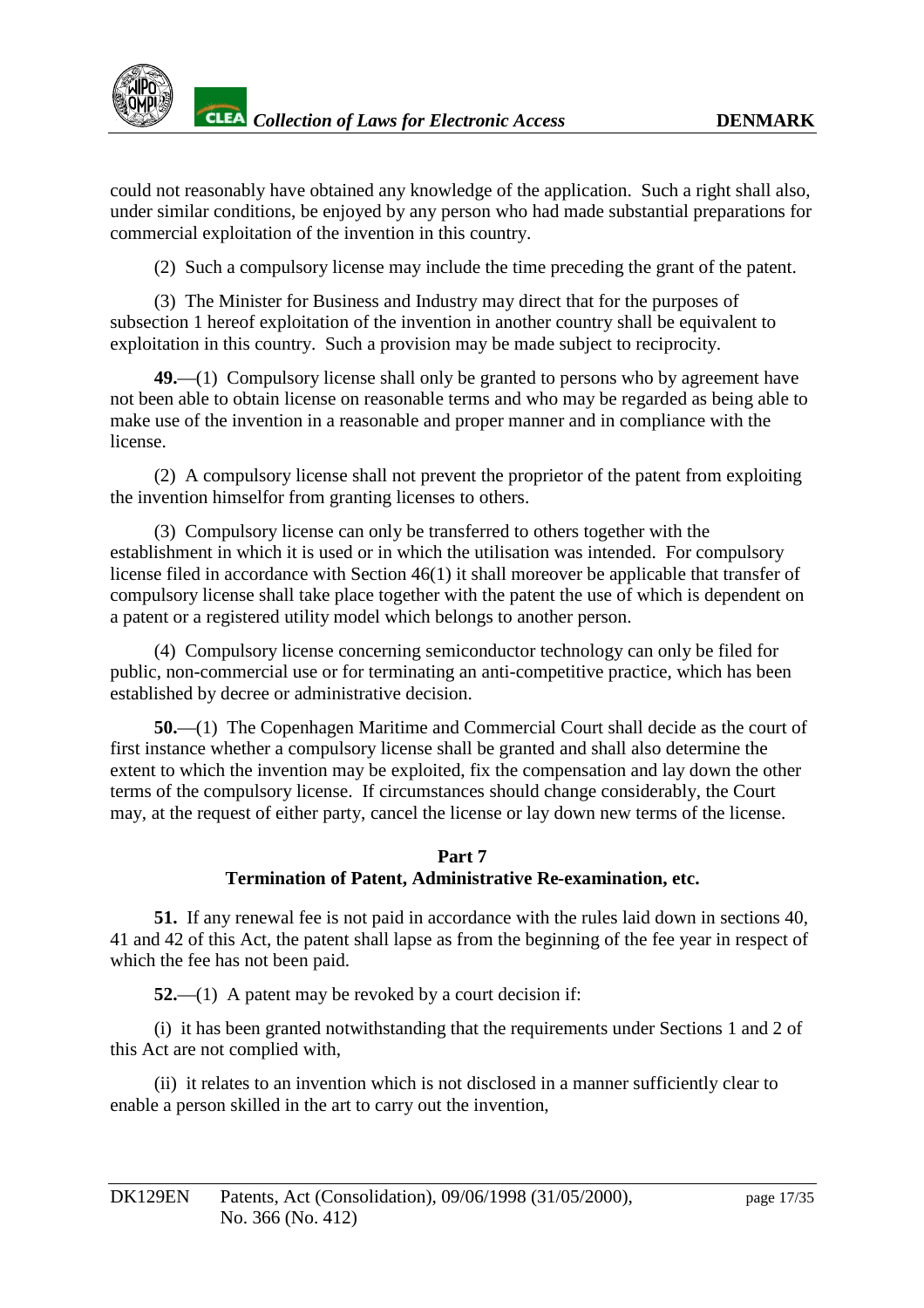could not reasonably have obtained any knowledge of the application. Such a right shall also, under similar conditions, been joyed by any person who had made substantial preparations for commercial exploitation of the invention in this country.

(2) Such a compulsory license may include the time preceding the grant of the patent.

(3) The Minister for Business and Industry may direct that for the purposes of subsection 1 hereof exploitation of the inventional numeric on in another country shall be equivalent to exploitation in this country. Such a provision may be made subject to reciprocity.

49.—(1) Compulsory licenses hall only be granted to persons who by a greement have not been able to obtain license on reasonabl eterms and who may be regarded as being able to make use of the invention in a reasonable and proper manner and incompliance with the license.

(2) A compulsory licenses hall not prevent the proprietor of the patent from exploiting the invention himself or from granting licenses to others.

(3) Compulsory license can only be transferred to others together with the establishment in which it is used or in which the utilisation was intended. For compulsory license filed in accordance with Section 46(1) its hall more over be applicable that transfer of compulsorylicenseshall take place to gether with the patent the use of which is dependent on apatent or are gistered utility model which belongs to another person.

(4) Compulsory license concerning semiconduc tor technology can only be filed for public, non-commercial use or forterminating an anti -competitive practice, which has been established by decree or administrative decision.

**50.**—(1) The Copenhagen Maritime and Commercial Court shall decide as the cour to f firstinstancewhetheracompulsorylicenseshall begranted and shall also determine the extent to which the invention may be exploited, fix the compensation and laydown the other terms of the compulsor vicense. If circumstances should change cons iderably, the Court may, at the request of either party, cancel the license or laydown new terms of the license.

#### Part<sub>7</sub> **Termination of Patent, Administrative Re -examination, etc.**

**51.** If any renewal fee is not paid in accordance with the rules laid down i nsections 40, 41 and 42 of this Act, the patent shall lapse as from the beginning of the fee year in respect of which the fee has not been paid.

**52.**—(1) A patent may be revoked by a court decision if:

(i) it has been granted notwithstanding that the req uirements under Sections 1 and 2 of this Actarenot complied with,

(ii) it relates to an invention which is not disclosed in a manner sufficiently clear to enable a person skilled in the art to carry out the invention,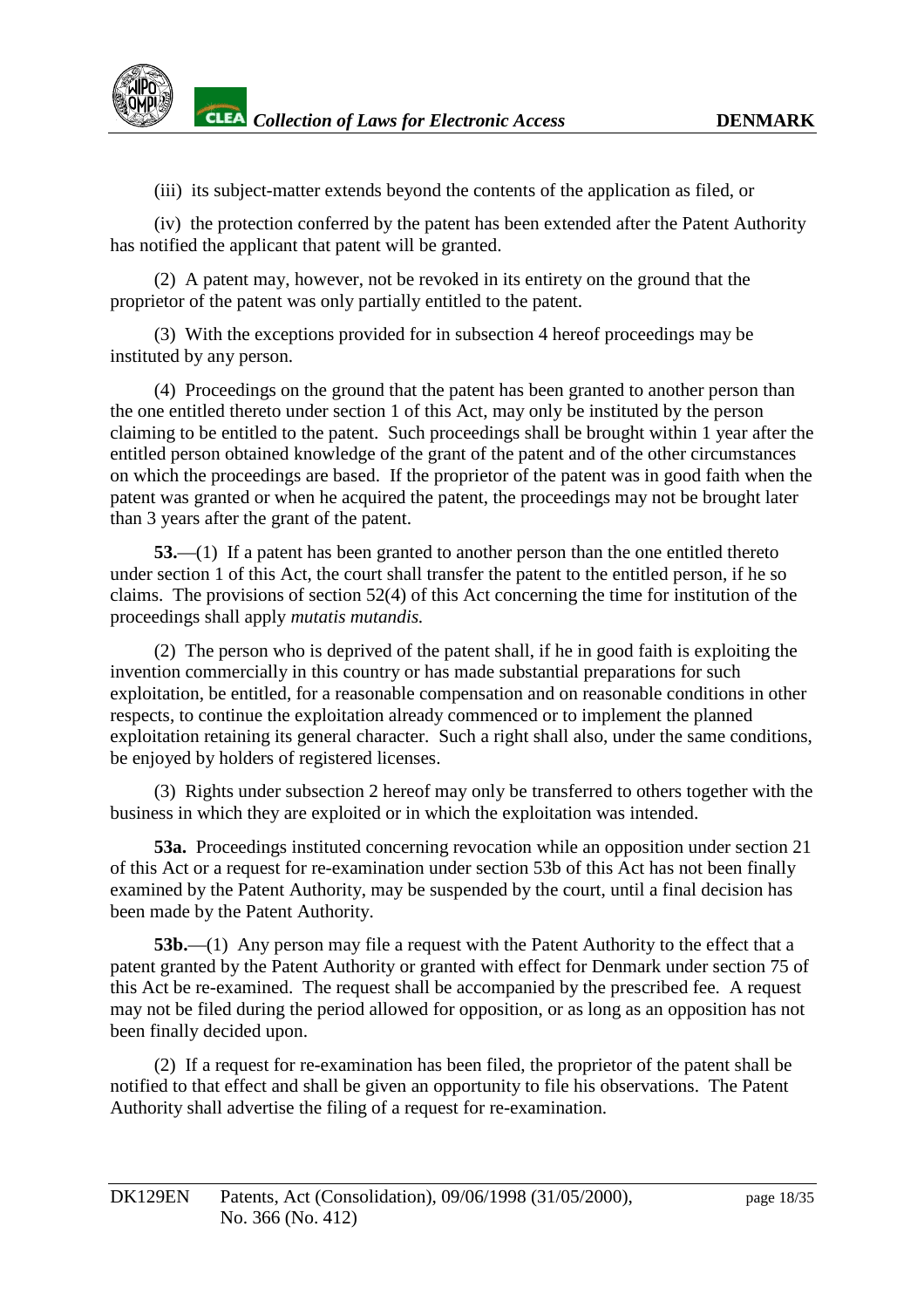

(iii) its subject -matter extends beyond the contents of the application as filed, or

(iv) the protection conferred by the patent has been extended after the Patent Authority has notified the applicant that patent will be granted.

(2) A patent may, however, not be revoked in its entirety on the ground that the proprietor of the patent was only partially entitled to the patent.

(3) With the exceptions provided for in subsection 4 hereof proceedings may be instituted by any person.

(4) Proceedings on the ground that the patent has been gra nted to another person than the one entitled there to under section 1 of this Act, may only be instituted by the person claiming to be entitled to the patent. Such proceedings shall be brought within 1 year after the entitled person obtained knowled geoft he grant of the patent and of the other circumstances on which the proceedings are based. If the proprietor of the patent was in good faith when the patent was granted or when he acquired the patent, the proceedings may not be brought later than 3 years a fter the grant of the patent.

**53.**—(1) If a patent has been granted to another person than the one entitled there to under section 1 of this Act, the court shall transfer the patent to the entitled person, if he so claims. The provisions of section 52(4) o fthis Act concerning the time for institution of the proceedings shall apply *mutatis mutandis.*

(2) The person who is deprived of the patent shall, if he ingood faith is exploiting the invention commercially in this country or has mades ubstantial prepar ations for such a tions for such a tion s exploitation, be entitled, for a reasonable compensation and on reasonable conditions in other respects, to continue the exploitation already commenced or to implement the planned exploitation retaining its general character. Such a right shall also, under the same conditions, beenjoyed by holders of registered licenses.

(3) Rights under subsection 2 hereof may only be transferred to others together with the business in which the yare exploited or in which the exploitation was intended.

**53a.** Proceedings instituted concerning revocation while an opposition under section 21 of this Actor are quest for re-examination under section 53b of this Act has not been finally examined by the Patent Authority, may be suspended by the court, until a f inal decision has been made by the Patent Authority.

**53b.**—(1) Any person may file a request with the Patent Authority to the effect that a patent granted by the Patent Authority or granted with effect for Denmark under section 75 of this Actbere -examined. The requests hall be accompanied by the prescribed fee. A request may not be filed during the period allowed for opposition, or as long as an opposition has not been finally decided upon.

(2) If a request for represent regular regular represent the propriet et or of the patent shall be notified to that effect and shall be given an opportunity to file his observations. The Patent Authority shall advertise the filing of a request for real requirement real real resolution.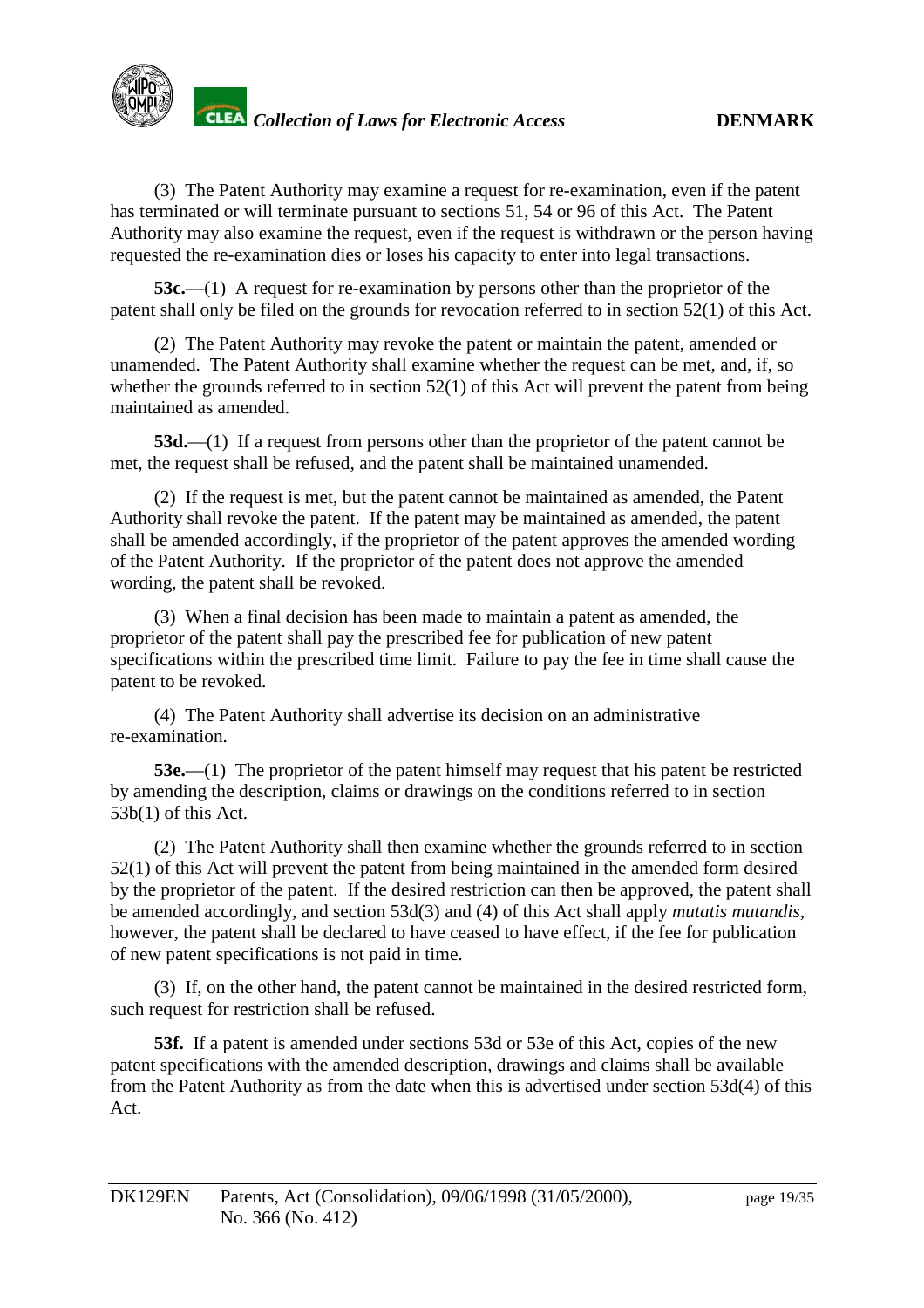

(3) The Patent Authority may examine are quest for respect real resonance request for examination, even if the patent has terminated or will terminate pursuant to sections 51, 54 or 96 of this Act. The Patent Authority may also examine the request, even if the request is withdrawn or the person having requested the re -examination dies or loses hi scapacity to enter into legal transactions.

**53c.**—(1) A request for re -examination by persons other than the proprietor of the patent shall only be filed on the grounds for revocation referred to insection 52(1) of this Act.

(2) The Patent Authority may revoke the patent or maintain the patent, amended or unamended. The Patent Authority shall examine whether the request can be met, and, if, so whether the grounds referred to insection  $52(1)$  of this Act will prevent the patent from being maintained as a mended.

**53d.**—(1) If a request from persons other than the proprietor of the patent cannot be met, the requests hall be refused, and the patent shall be maintained unamended.

(2) If the requestismet, but the patent cannot be maintained as amended, the P atent Authority shall revoke the patent. If the patent may be maintained as amended, the patent shall be amended accordingly, if the proprietor of the patent approves the amended wording of the Patent Authority. If the proprietor of the patent does not a pprove the amended wording, the patent shall be revoked.

(3) When a final decision has been made to maintain a patent as amended, the proprietor of the patent shall pay the prescribed fee for publication of new patent specifications within the prescribed time limit. Failure to pay the fee in time shall cause the patent to be revoked.

(4) The Patent Authority shall advertise its decision on an administrative re-examination.

**53e.**—(1) The proprietor of the patent himself may request that his patent be rest ricted by amending the description, claims or drawings on the conditions referred to insection 53b(1) of this Act.

(2) The Patent Authority shall then examine whether the grounds referred to in section 52(1) of this Act will prevent the patent from being maintained in the amended form desired by the proprietor of the patent. If the desired restriction can then be approved, the patent shall be amended accordingly, and section 53d(3) and (4) of this Act shall apply *mutatismutandis*, however, the patentsha ll be declared to have ceased to have effect, if the fee for publication of new patent specifications is not paid in time.

(3) If, on the other hand, the patent cannot be maintained in the desired restricted form, such request for restrictions hall be ref used.

**53f.** If a patentisamended under sections 53d or 53e of this Act, copies of the new patent specifications with the amended description, drawings and claims shall be available from the Patent Authority as from the date when this is advertised under section 53d(4) of this Act.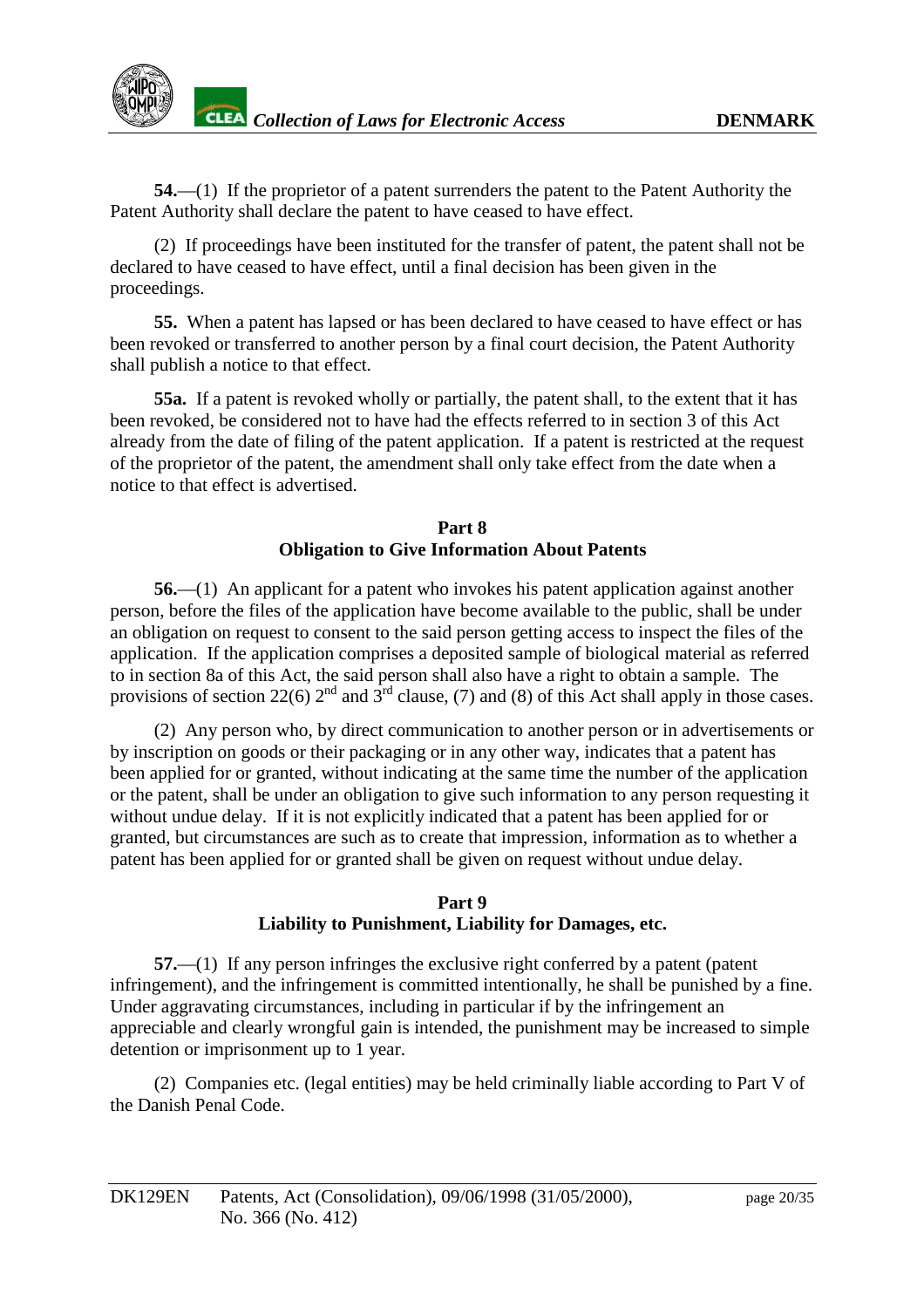

**54.**—(1) If the proprietor of a patent surrenders the patent to the Patent Authority the Patent Authority shall declare the patent to have ceased to have effect.

(2) If proceedings have been instituted for the transfer of paten t, the patent shall not be declared to have ceased to have effect, until a final decision has been given in the proceedings.

**55.** When a patent has lapsed or has been declared to have ceased to have effect or has been revoked or transferred to another pers on by a final court decision, the Patent Authority shall publish anotice to that effect.

**55a.** If a patent is revoked wholly or partially, the patent shall, to the extent that it has been revoked, beconsidered not to have had the effects referred to ins section 3 of this Act already from the date of filing of the patent application. If a patent is restricted at the request of the proprietor of the patent, the amendmentshall only take effect from the date when a notice to that effect is advertised.

#### **Part 8 Obligation to Give Information About Patents**

**56.**—(1) Anapplicant for a patent who invokes his patent application against another person, before the files of the application have become available to the public, shall be under an obligation on request to consent to the said person getting access to inspect the files of the application. If the application comprises a deposited sample of biological material as referred to insection 8a of this Act, the said person shall also have a right to obtain a sample. The provisions of section  $22(6)$  2  $^{\text{nd}}$  and 3  $^{\text{rd}}$  clause, (7) and (8) of this Act shall apply in those cases.

(2) Any person who, by direct communication to another person or in advertisements or by inscription on goods or their packaging or in any other way, indicates that a patent has been applied for orgranted, without indicating at the same time the number of the application orthepatent, shall be under an obligation to give such information to any person requesting it without undue delay. If it is not explicitly indicated that a patent has been applied for or granted, but circumstances are such as to create that impression, information as to whether a patent has been applied for organ tedshall be given on request without undue delay.

#### **Part9 Liability to Punishment, Liability for Damages, etc.**

**57.**—(1) If any person infringes the exclusive right conferred by a patent (patent infringement), and the infringement is committed intentionally, he shall be punished by a fine. Under aggravating circumstances, including in particular if by the infringement an appreciable and clearly wrong fulgain is intended, the punishment may be increased to simple detention or imprisonment up to 1 year.

(2) Companies etc. (legal entities) may be held criminally liable accord ing to Part V of the Danish Penal Code.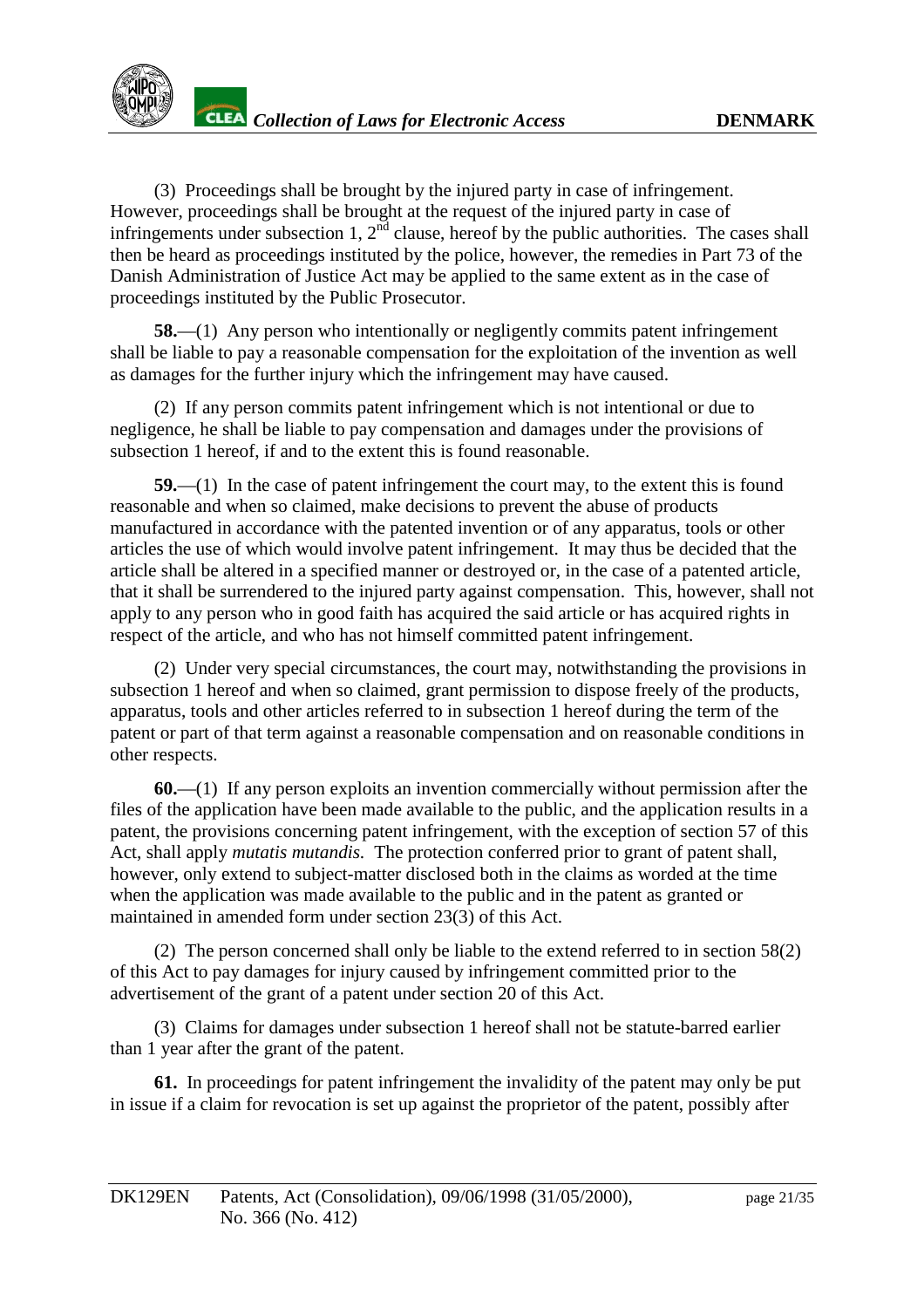

(3) Proceedings shall be brought by the injured party in case of infringement. However, proceedings shall be brought at the request of the injured party in case of infringements under subsection  $1.2 \times$  nd clause, here of by the public authorities. The cases shall then beheard as proceedings instituted by the police, however, the remedies in Part 73 of the Danish Administration of Justice Act may be applied to the same extent as in the case of proceedings instituted by the Public Prosecutor.

**58.**—(1) Any person who intentionally or negligently commits patent infringement shall be liable to pay a reasonable compensation for the exploitation of the invention as well as damages for the further injury which the infringement may have caused.

(2) If any person commits patent infringement which is not intentional or due to negligence, he shall be liable to pay compensation and damages under the provisions of subsection 1 hereof, if and to the extent this is found reasonable.

**59.**—(1) In the case of patent infringement the court may, to the extent this is found reasonable and when soclaimed, make decisions to prevent the abuse of products manufactured in accordance with the patented invention or of any apparatus, tools or other articles the use of which would involve patent infringement. It may thus be decided that the article shall be altered in a specified manner or destroyed or, in the case of a patented article, that it shall be surrendered to the injured party against comp ensation. This, however, shall not apply to any person who in good faith has acquired the said article or has acquired rights in respect of the article, and who has nothimself committed patent infringement.

(2) Under very special circumstances, the cour t may, notwithstanding the provisions in subsection 1 hereof and when soclaimed, grant permission to dispose freely of the products, apparatus, tools and other articles referred to insubsection 1 hereof during the term of the patent or part of that term against a reasonable compensation and on reasonable conditions in otherrespects.

**60.**—(1) If any person exploits an invention commercially without permission after the files of the application have been made available to the public, and the application re sults in a patent, the provisions concerning patent infringement, with the exception of section 57 of this Act, shall apply *mutatis mutandis*. The protection conferred prior to grant of patent shall, however, only extend to subject -matter disclosed both in the claims as worded at the time when the application was made available to the public and in the patent as granted or maintained in amended formunders ection 23(3) of this Act.

(2) The person concerned shall only be liable to the extend referred to in section 58(2) of this Act to pay damages for injury caused by infringement committed prior to the advertisement of the grant of a patent under section 20 of this Act.

(3) Claims for damages under subsection 1 hereof shall not be statute -barred earlier than 1 year after the grant of the patent.

**61.** Inproceedings for patent infringement the invalidity of the patent may only be put in issue if a claim for revocation is set up against the proprietor of the patent, possibly after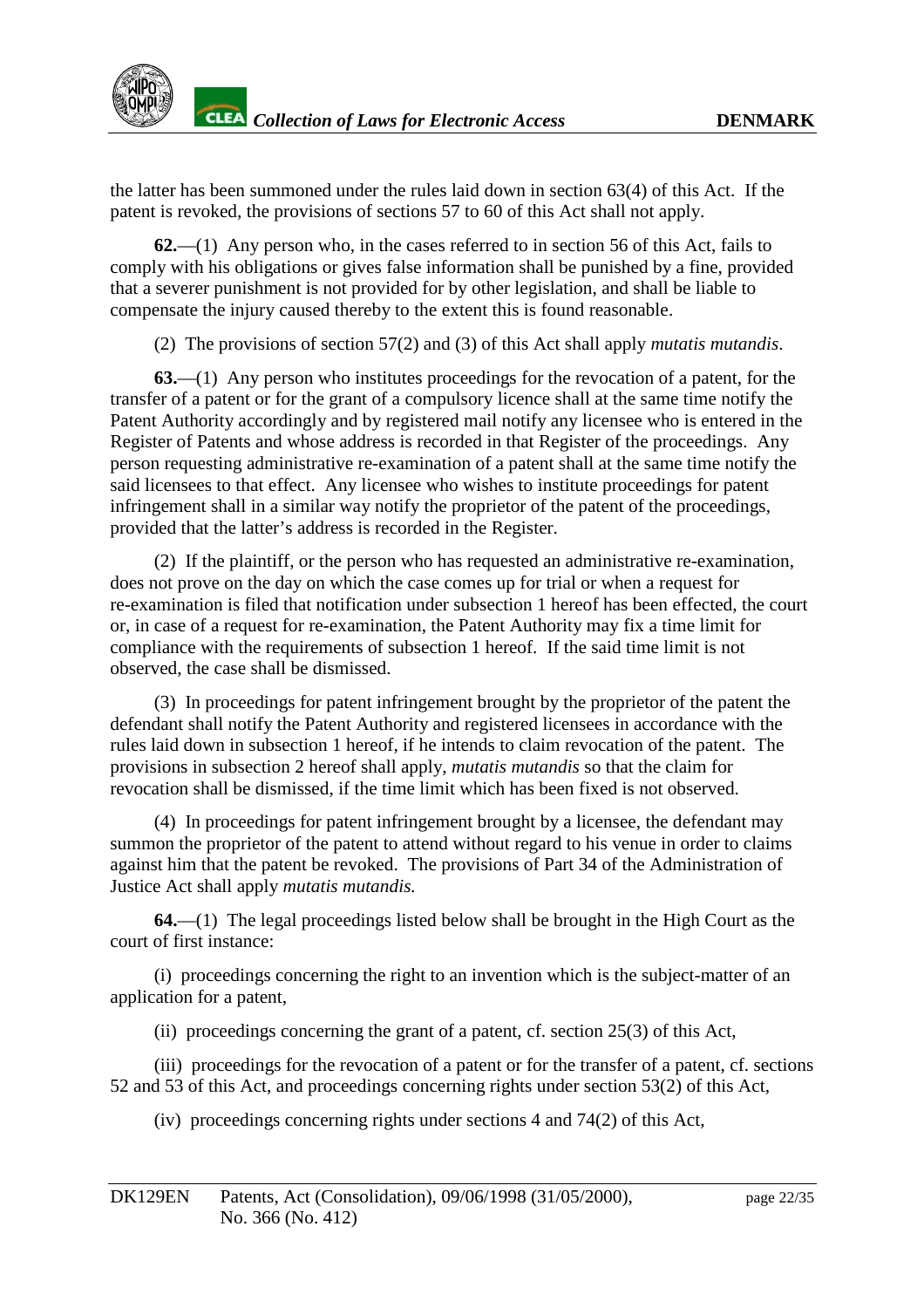the latter has been summoned under the rules laid down in section 63(4) of this Act. If the patent is revoked, the provisions of sections 57 to 60 of this Act shall not apply.

**62.**—(1) Any person who, in the cases referred to insection 56 of this Act, fails to comply with his obliga tions or gives false information shall be punished by a fine, provided that a severer punishment is not provided for by other legislation, and shall be liable to compensate the injury caused thereby to the extent this is found reasonable.

(2) The provisio ns of section 57(2) and (3) of this Act shall apply *mutatis mutandis* .

**63.**—(1) Any person who institutes proceedings for the revocation of a patent, for the transfer of a patent or for the grant of a compulsory licences hall at the same time notify the Patent Authority accordingly and by registered mail notify any licensee who is entered in the Register of Patents and whose address is recorded in that Register of the proceedings. Any person requesting administrative re -examination of a patent shall at the same time notify the saidlicenseestothat effect. Any licensee who wishes to institute proceedings for patent infringement shall in a similar way notify the proprietor of the patent of the proceedings, provided that the latter's address is recorded in the Register.

(2) If the plaintiff, orthe person who has requested an administrative re -examination, does not prove on the day on which the case comes up for trial or when a request for re-examination is filed that notification under subsection 1 hereof h as been effected, the court or, in case of a request for re -examination, the Patent Authority may fix a time limit for compliance with the requirements of subsection 1 hereof. If the said time limitis not observed, the case shall be dismissed.

(3) In proceedings for patent infringement brought by the propriet or of the patent the defendant shall notify the Patent Authority and registered licensees in accordance with the rules laid down in subsection 1 here of, if he intends to claim revocation of the paten t. The provisions in subsection 2 hereof shall apply, *mutatis mutandis* so that the claim for revocationshall be dismissed, if the time limit which has been fixed is not observed.

(4) Inproceed ings for patent infringement brought by alicensee, the defe ndant may summon the proprietor of the patent to attend without regard to his venue in order to claims against him that the patent be revoked. The provisions of Part 34 of the Administration of Justice Act shall apply *mutatis mutandis.*

**64.**—(1) The legal proceedings listed belows hall be brought in the High Court as the court of first instance:

(i) proceedings concerning the right to an invention which is the subject -matter of an application for a patent.

(ii) proceedings concerning the grant of a patent density of section 25(3) of this Act,

(iii) proceedings for the revocation of a patent or for the transfer of a patent, cf. sections 52 and 53 of this Act, and proceedings concerning rights under section 53(2) of this Act,

 $(iv)$  proceedings concerning rights u nder sections 4 and  $74(2)$  of this Act,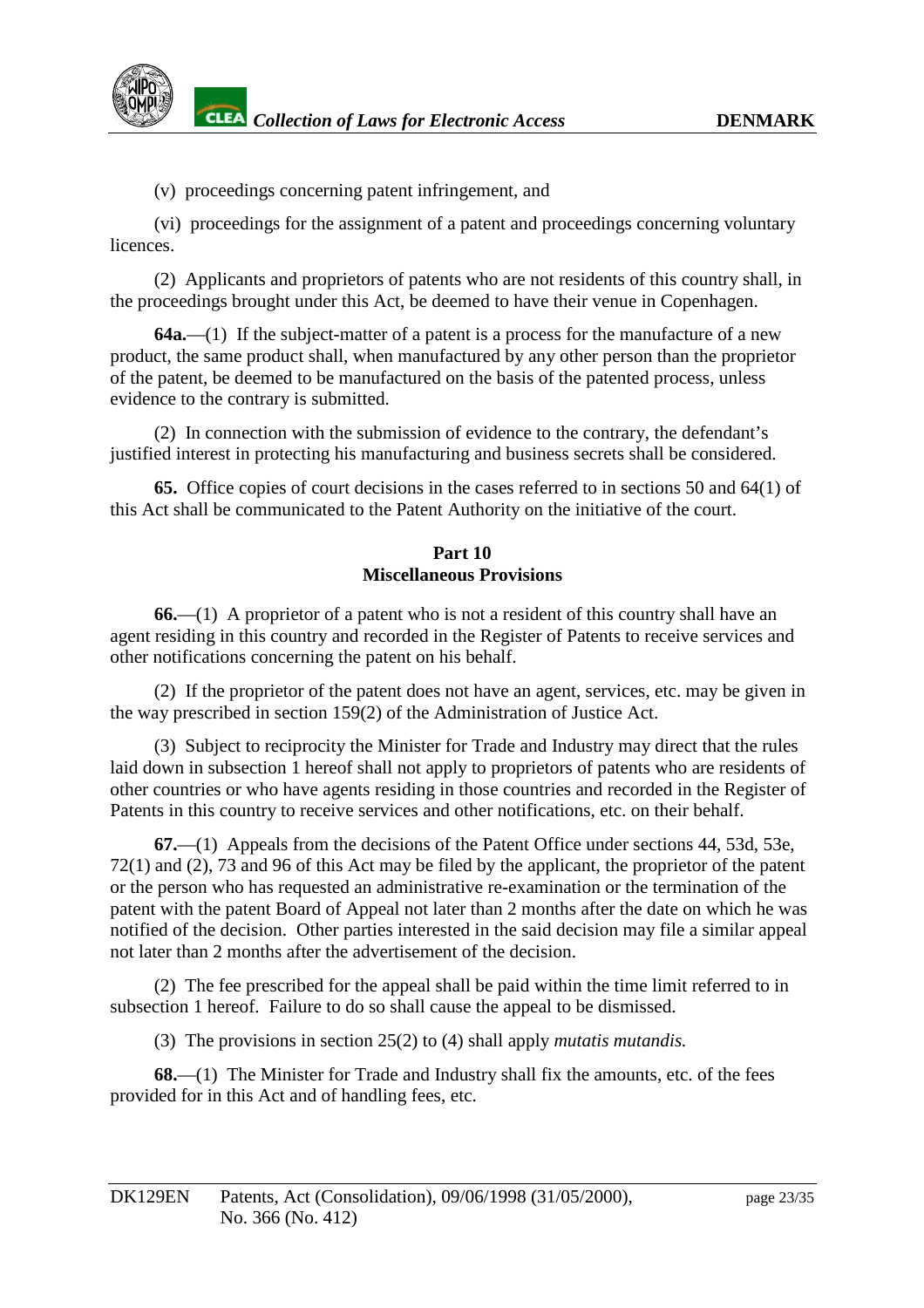(v) proceedings concerning patent infringement, and

(vi) proceedings for the assignment of a patent and proceedings concerning voluntary licences.

(2) Applicants and proprietors of patents who are not residents of this country shall, in the proceedings brought under this Act, be deemed to have their venue in Copenhagen.

**64a.**—(1) If the subject -matter of a patent is a process for the manufacture of a new product, the same product shall, when manufactured by any othe r person than the proprietor of the patent, be deemed to be manufactured on the basis of the patented process, unless evidence to the contrary is submitted.

(2) In connection with the submission of evidence to the contrary, the defendant's justified inter est in protecting his manufacturing and business secrets shall be considered.

**65.** Office copies of court decisions in the cases referred to in sections 50 and 64(1) of this Actshall be communicated to the Patent Authority on the initiative of the court.

# **Part 10 Miscellaneous Provisions**

**66.**—(1) A proprietor of a patent who is not are sident of this country shall have an agent residing in this country and recorded in the Register of Patents to receive services and other notifications concerning the patent on his behalf.

(2) If the proprietor of the patent does not have an agent, services, etc. may be given in the way prescribed in section 159(2) of the Administration of Justice Act.

(3) Subject to reciprocity the Minister for Trade and Industry may direct that the rules laiddown in subsection 1 hereof shall not apply to proprietors of patents who are residents of other countries or who have agents residing in those countries and recorded in the Register of Patents in this country to receive services and o ther notifications, etc. on their behalf.

**67.**—(1) Appeals from the decisions of the Patent Office under sections 44, 53d, 53e, 72(1) and (2), 73 and 96 of this Act may be filed by the applicant, the proprietor of the patent orthe person who has requested an administrative re -examination or the termination of the patent with the patent Board of Appeal not later than 2 months after the date on which he was notified of the decision. Other parties interested in the said decision may file a similar appeal not later than 2 months after the advertisement of the decision.

(2) The fee prescribed for the appeal shall be paid within the time limit referred to in subsection 1 hereof. Failure to do so shall cause the appeal to be dismissed.

(3) The provisions in section 25(2) to (4) shall apply *mutatismutandis.* 

**68.**—(1) The Minister for Trade and Industry shall fix the amounts, etc. of the fees provided for in this Act and of handling fees, etc.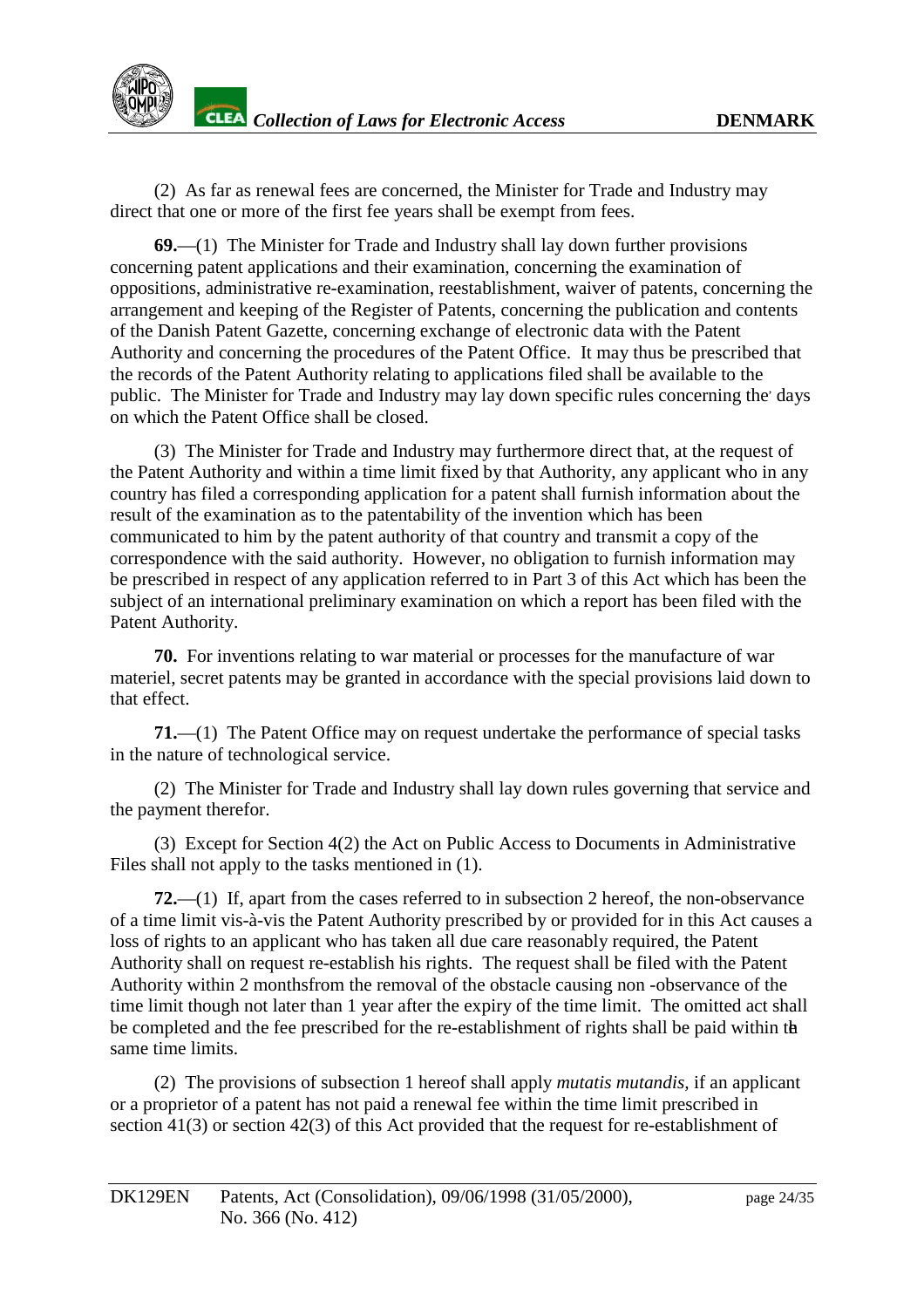

(2) As far as renewal feed are concerned, the Minister for Trade and Industry may direct that one or more of the first fee years shall be exempt from fees.

**69.**—(1) The Minister for Trade and Industry shall laydown further provisions concerning patent applications and their examination, concerning the examination of oppositions, administrative re -examination, reestablishment, waiver of patents, concerning the arrangement and keeping of the Register of Patents, concerning the publication and contents of the Danish Patent Gazette, concerning exchange of electronic data with t he Patent Authority and concerning the procedures of the Patent Office. It may thus be prescribed that the records of the Patent Authority relating to applications filed shall be available to the public. The Minister for Trade and Industry may lay downs pecificrules concerning the 'days' on which the Patent Office shall be closed.

(3) The Minister for Trade and Industry may furthermore direct that, at the request of the Patent Authority and within a time limit fixed by that Authority, any applicant who i nany country has filed a corresponding application for a patent shall furnish information about the result of the examination as to the patentability of the invention which has been communicated to him by the patent authority of that country and transmit acopy of the correspondence with the said authority. However, no obligation to furnish information may be prescribed in respect of any application referred to in Part 3 of this Act which has been the subject of an international preliminary examination on which are porthas been filed with the Patent Authority.

**70.** For inventions relating to warmaterial or processes for the manufacture of war materiel, secret patents may be granted in accordance with the special provisions laid down to that effect.

**71.**—(1) The Patent Office may on request under take the performance of special tasks in the nature of technological service.

(2) The Minister for Trade and Industry shall lay down rules governing that service and the payment therefor.

(3) Except for Section 4 (2) the Act on Public Access to Documents in Administrative Files shall not apply to the tasks mentioned in (1).

**72.**—(1) If, apart from the cases referred to insubsection 2 hereof, the non -observance of a time limit vis -à-vis the Patent Authority prescri bed by or provided for in this Act causes a loss of rights to an applicant who has taken all due care reasonably required, the Patent Authority shall on request re -establish his rights. The request shall be filed with the Patent Authority within 2 months from the removal of the obstacle causing non -observance of the time limit though not later than 1 year after the expiry of the time limit. The omitted acts hall be completed and the fee prescribed for the re -establishment of rights shall be paid within the sametimelimits.

(2) The provisions of subsection 1 hereof shall apply *mutatis mutandis,* if an applicant or a proprietor of a patent has not paid a renewal fee within the time limit prescribed in section 41(3) or section 42(3) of this Act provided that the request for re-establishment of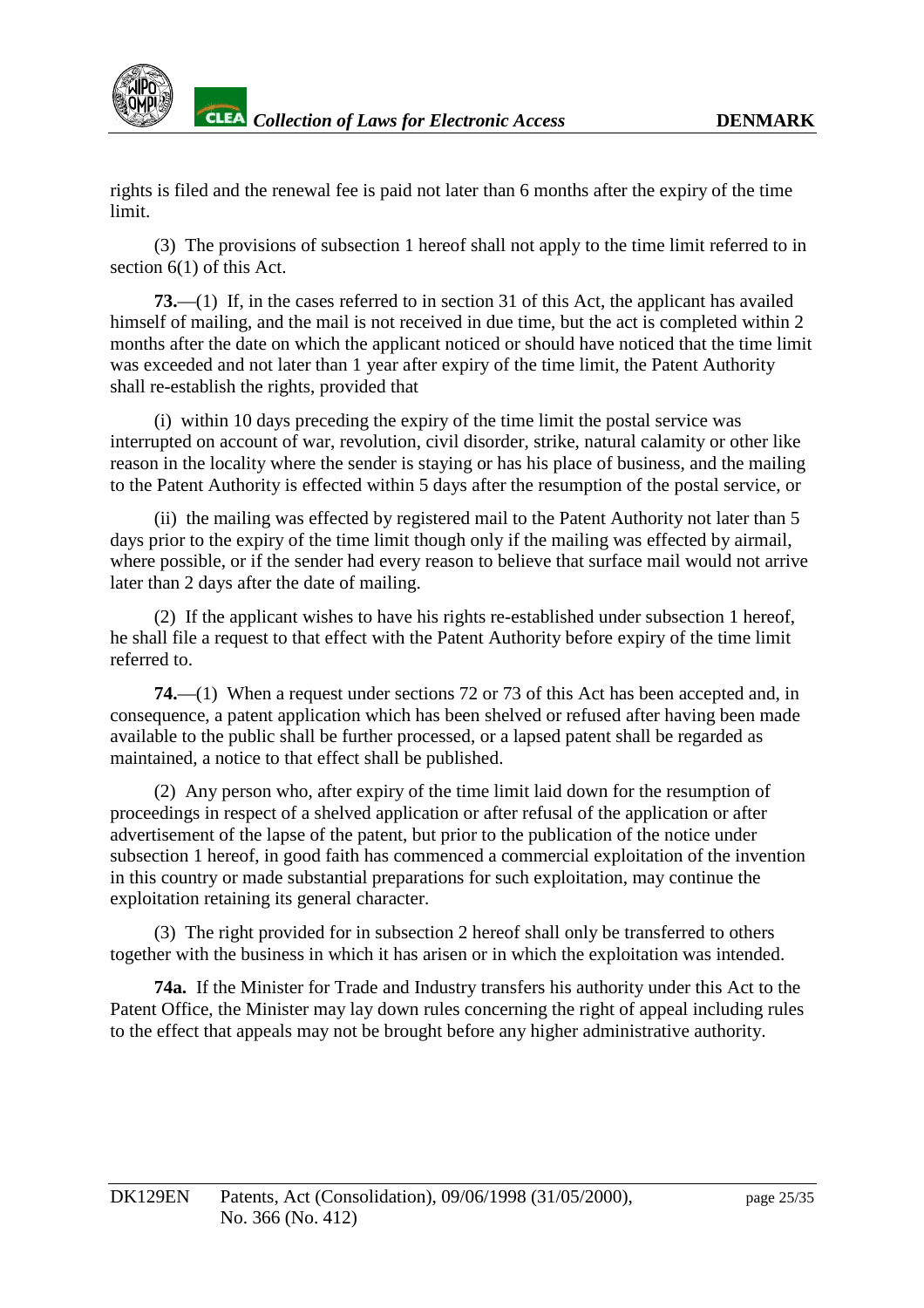

rights is filed and the renewal fee is paid not later than 6 months after the expiry of the time limit.

(3) The provisions of subsection 1 hereof shall not apply to the time limit referred to in  $section 6(1) of this Ac$  t.

**73.**—(1) If, in the cases referred to insection 31 of this Act, the applicant has availed himself of mailing, and the mail is not received inductime, but the act is completed within 2 months after the date on which the applicant notice dorshould hav enoticed that the time limit was exceeded and not later than 1 year after expiry of the time limit, the Patent Authority shall re-establish the rights, provided that

(i) within 10 days preceding the expiry of the time limit the postal service was interrupted on account of war, revolution, civil disorder, strike, natural calamity or other like reason in the locality where the sender is staying or has his place of business, and the mailing to the Patent Authority is effected within 5 days after the resumpti on of the postal service, or

(ii) the mailing was effected by registered mail to the Patent Authority not later than 5 days prior to the expiry of the time limit though only if the mailing was effected by airmail, where possible, or if the sender had ever vreason to believe that surface mail would not arrive laterthan 2 days after the date of mailing.

(2) If the applicant wishes to have his rights re -established under subsection 1 hereof, he shall file a request to that effect with the Patent Authority b efore expiry of the time limit referred to.

**74.**—(1) When a request under sections 72 or 73 of this Act has been accepted and, in consequence, a patent application which has been shelved or refused after having been made available to the public shall be further processed, or alapsed patent shall be regarded as maintained, anotice to that effect shall be published.

(2) Any person who, after expiry of the time limit laid down for the resumption of proceedings in respect of a shelved application or after refusal of the application or after advertisement of the lapse of the patent, but prior to the publication of the notice under subsection 1 hereof, ingood faith has commenced a commercial exploitation of the invention in this country or made substantial pre parations for such exploitation, may continue the exploitation retaining its general character.

(3) The right provided for in subsection 2 hereof shall only be transferred to others together with the business in which it has arise normal which the exploit ation was intended.

74a. If the Minister for Trade and Industry transfers his authority under this Act to the Patent Office, the Minister may lay down rules concerning the right of appeal including rules to the effect that appeals may not be brought befor eany higher administrative authority.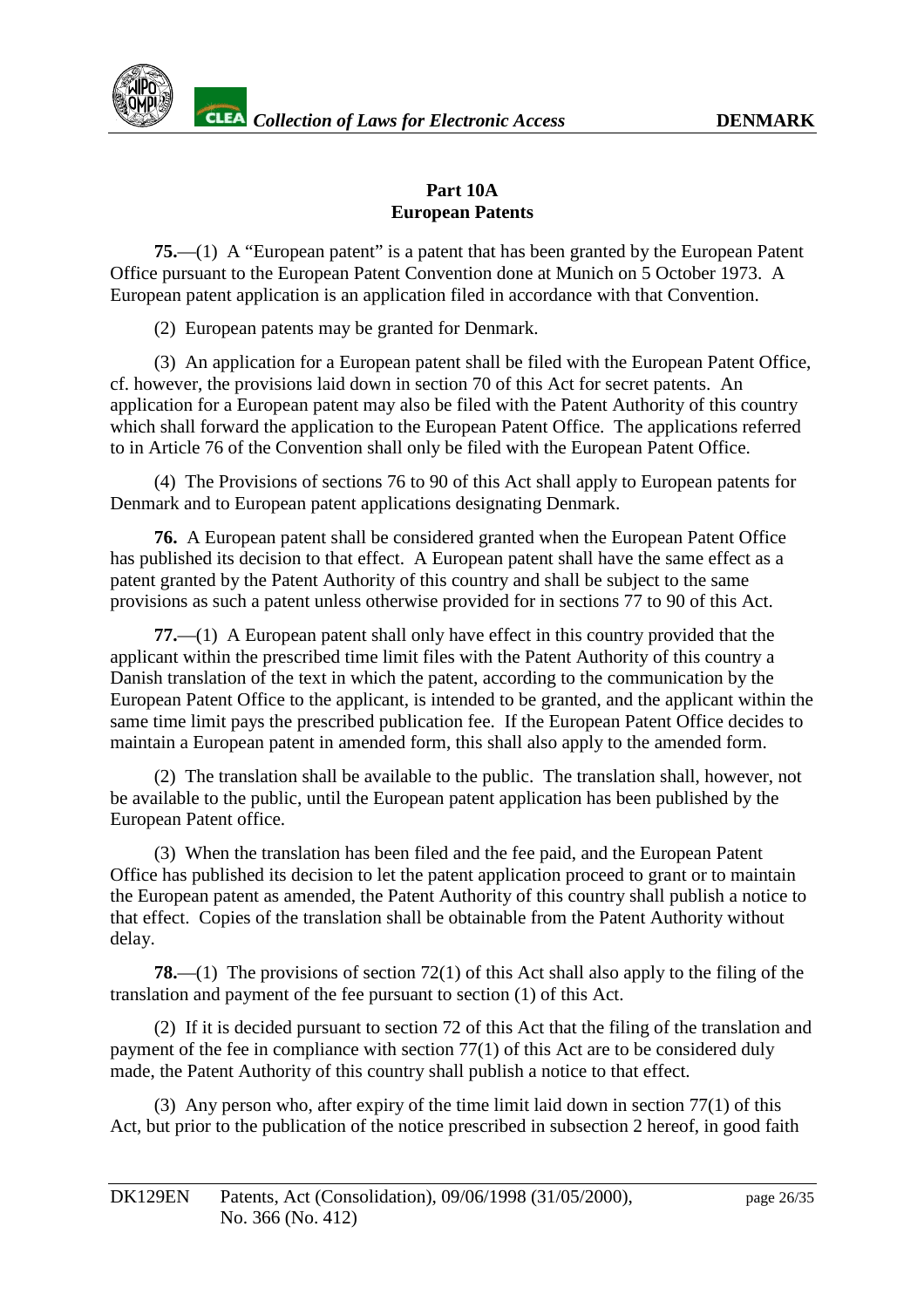

### **Part 10A European Patents**

**75.**—(1) A "European patent" is a patent that has been granted by the European Patent Office pursuant to the European Patent Convention done at Munich on 5 October 1973. A European patentap plication is an application filed in accordance with that Convention.

(2) European patents may be granted for Denmark.

(3) An application for a European patent shall be filed with the European Patent Office, cf. however, the provisions laid down in section on 70 of this Act for secret patents. An application for a European patent may also be filed with the Patent Authority of this country which shall forward the application to the European Patent Office. The applications referred to in Article 76 of the Co nventionshall only be filed with the European Patent Office.

(4) The Provisions of sections 76 to 90 of this Act shall apply to European patents for Denmark and to European patent applications designating Denmark.

**76.** A European patents hall be consider edgranted when the European Patent Office has published its decision to that effect. A European patent shall have the same effect as a patent granted by the Patent Authority of this country and shall be subject to the same provisions as such a patent unless otherwise provided for insections 77 to 90 of this Act.

**77.**—(1) A European patents hall only have effect in this country provided that the applicant within the prescribed time limit files with the Patent Authority of this country a Danish translation of the text in which the patent, according to the communication by the European Patent Office to the applicant, is intended to be granted, and the applicant within the sametime limit pays the prescribed publication fee. If the European Patent Office dec ides to maintain a European patent in amended form, this shall also apply to the amended form.

(2) The translation shall be available to the public. The translation shall, however, not be available to the public, until the European patent application has been published by the EuropeanPatent office.

(3) When the translation has been filed and the fee paid, and the European Patent Office has published its decision to let the patent application proceed to grant or to maintain the European patent as amended , the Patent Authority of this country shall publish anotice to that effect. Copies of the translationshall be obtainable from the Patent Authority without delay.

**78.**—(1) The provisions of section 72(1) of this Acts hall also apply to the filing of the translation and payment of the fee pursuant to section (1) of this Act.

(2) If it is decided pursuant to section 72 of this Act that the filing of the translation and payment of the fee in compliance with section 77(1) of this Act are to be considered du ly made, the Patent Authority of this country shall publish a notice to that effect.

 $(3)$ Any person who, after expiry of the time limit laid down in section 77 $(1)$  of this Act, but prior to the publication of the notice prescribed in subsection 2 hereof, i ngood faith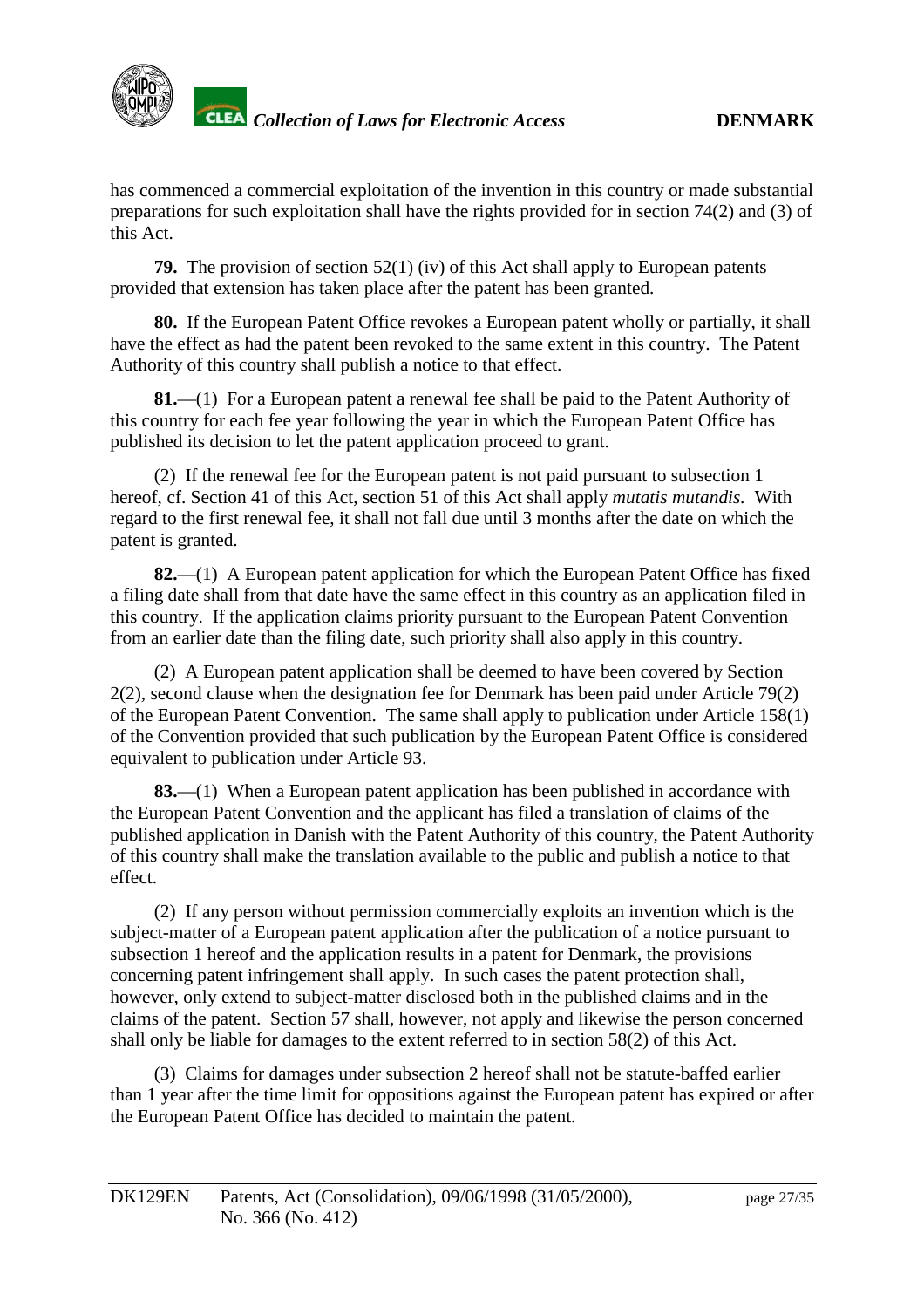

has commenced a commercial exploitation of the invention in this country or made substantial preparations for such exploitations hall have the rights provided for insection 74(2) and (3) of this Act.

**79.** The provision of section 52(1) (iv) o fthis Acts hall apply to European patents provided that extension has taken place after the patent has been granted.

**80.** If the European Patent Office revokes a European patent wholl yor partially, it shall have the effect as had the patent been revoked to the same extent in this country. The Patent Authority of this country shall publish anotice to that effect.

81.—(1) For a European patent a renewal feeshall be paid to the Patent Authority of this country for each fee year following the year in whic hthe European Patent Office has published its decision to let the patent application proceed to grant.

(2) If the renewal fee for the European patent is not paid pursuant to subsection 1 hereof, cf. Section 41 of this Act, section 51 of this Act shall ap ply *mutatis mutandis.* With regard to the first renewal fee, it shall not fall due until 3 months after the date on which the patent is granted.

**82.**—(1) A European patent application for which the European Patent Office has fixed a filing date shall from that date have the same effect in this country as an application filed in this country. If the application claims priority pursuant to the European Patent Convention from an earlierd at ethan the filing date, such priority shall also apply in this country

(2) A European patent application shall be deemed to have been covered by Section 2(2), second clause when the designation fee for Denmark has been paid under Article 79(2) of the European Patent Convention. The same shall apply to publication under Ar ticle 158(1) of the Convention provided that such publication by the European Patent Office is considered equivalent to publication under Article 93.

**83.**—(1) When a European patent application has been published in accordance with the European Patent Conv ention and the applicant has filed a translation of claims of the published application in Danish with the Patent Authority of this country, the Patent Authority of this country shall make the translation available to the public and publish anotice to tha effect.

(2) If any person without permission commercially exploits an invention which is the subject-matter of a European patent application after the publication of a notice pursuant to subsection 1 hereof and the application results in a patent for De nmark, the provisions concerning patent infringements hall apply. In such cases the patent protections hall, however, only extend to subject -matter disclosed both in the published claims and in the claims of the patent. Section 57 shall, however, not app ly and likewise the person concerned shall only be liable for damages to the extent referred to insection 58(2) of this Act.

(3) Claims for damages under subsection 2 hereof shall not be statute -baffed earlier than 1 year after the time limit for opposit ions against the European patent has expired or after the European Patent Office has decided to maintain the patent.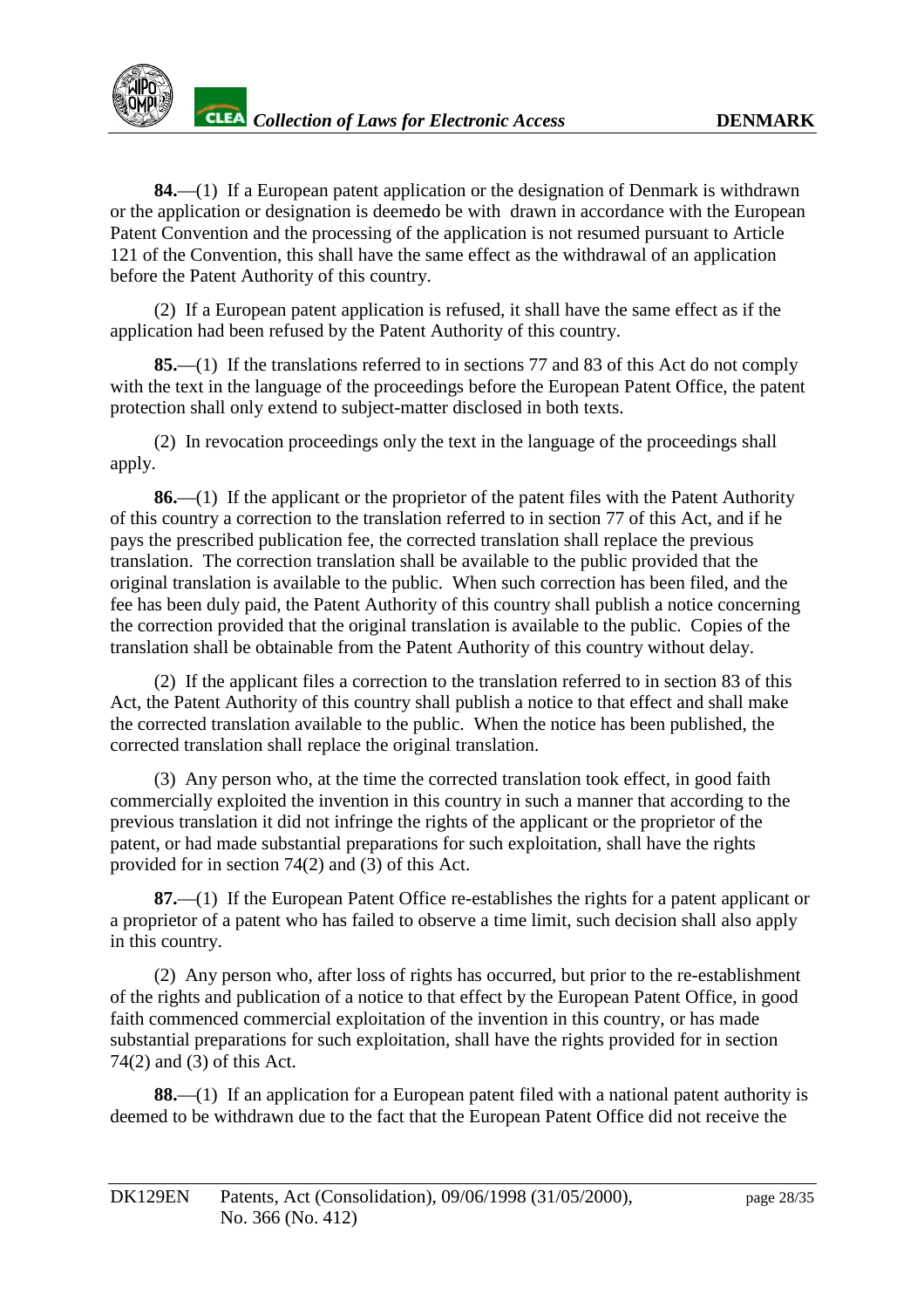**84.**—(1) If a European patent application or the designation of Denmark is withdrawn orthe application or designation is deemet bbe with drawn in accordance with the European Patent Convention and the processing of the application is not resumed pursuant to Article 121 of the Convention, this shall have the same effect as the withdrawal of an application before the Patent Authority of this country.

(2) If a European patent application is refused, it shall have the same effect as if the application had been refused by the Patent Authority of this country.

**85.**—(1) If the translations referred to insections 77 and 83 of this Act do not compl y with the text in the language of the proceedings before the European Patent Office, the patent protectionshall only extend to subject -matter disclosed in both texts.

(2) In revocation proceedings only the text in the language of the proceedings shall apply.

**86.**—(1) If the applicant or the propriet or of the patent files with the Patent Authority of this country a correction to the translation referred to insection 77 of this Act, and if he pays the prescribed publication fee, the corrected translation shall replace the previous translation. The correction translation shall be available to the public provided that the original translation is available to the public. When such correction has been filed, and the fee has been duly paid, the Patent Authori ty of this country shall publish a notice concerning the correction provided that the original translation is available to the public. Copies of the translation shall be obtainable from the Patent Authority of this country without delay.

(2) If the appli cant files a correction to the translation referred to insection 83 of this Act, the Patent Authority of this country shall publish a notice to that effect and shall make the corrected translation available to the public. When the notice has been publish ed, the corrected translation shall replace the original translation.

(3) Any person who, at the time the corrected translation took effect, in good faith commercially exploited the invention in this country in such a manner that according to the previous translation it did not infringe the rights of the applicant or the propriet or of the patent, or had mades ubstantial preparations for such exploitation, shall have the rights provided for insection  $74(2)$  and  $(3)$  of this Act.

**87.**—(1) If the European Pate nt Office restablishes the rights for a patent applicant or a proprietor of a patent who has failed to observe a time limit, such decisions hall also apply in this country.

(2) Any person who, after loss of rights has occurred, but prior to the restablishment of the rights and publication of a notice to that effect by the European Patent Office, in good faith commenced commercial exploitation of the invention in this country, or has made substantial preparations for such exploitation, shall have the rights provided for insection  $74(2)$  and  $(3)$  of this Act.

**88.**—(1) If an application for a European patent filed with a national patent authority is deemed to be withdrawn due to the fact that the European Patent Office didnot receive the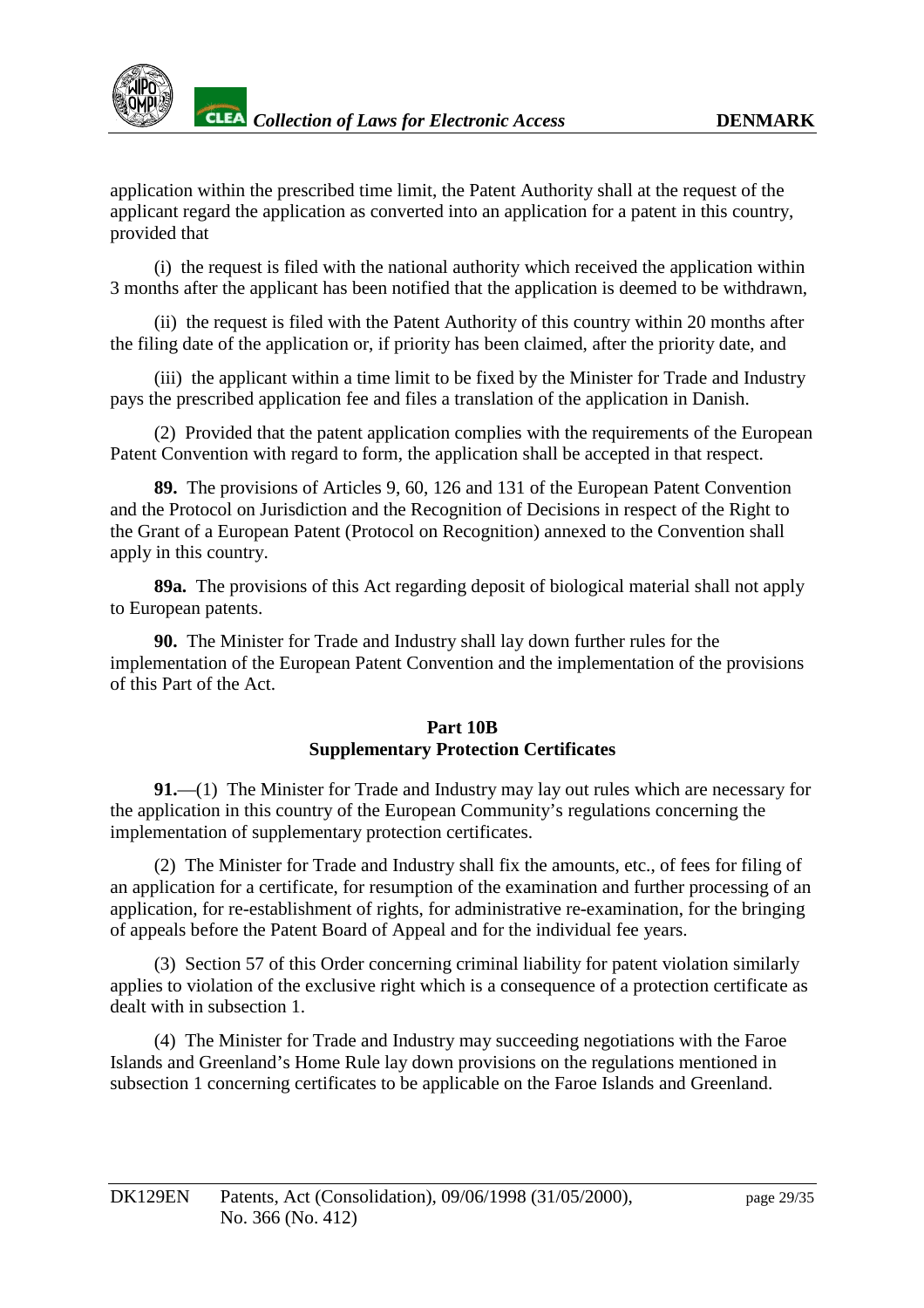application within the prescribed time limit, the Patent Authority shall at the request of the applicant regard the application as converted into an application for a patent in this country, provided that

(i) the request is filed with the national authority which received the application within 3 months after the applicant has been notified that the application is deemed to be withdrawn,

(ii) the requestis filed with the Patent Authority of this country within 20 months after the filing date of the application or, if priority has been claimed, after the priority date, and

(iii) the applicant within a time limit to be fixed by the Minister for Trade and Industry pays the prescribed application fee and files a translation of the application in Danish.

(2) Provided that the patent application complies with the requirements of the European Patent Convention with regard to form, the application shall be accepted in that respect.

**89.** The provisions of Articles 9, 60, 126 and 131 of the European Patent Convention and the Protoc olon Jurisdiction and the Recognition of Decisions in respect of the Right to the Grant of a European Patent (Protocol on Recognition) annexed to the Conventionshall apply in this country.

**89a.** The provisions of this Act regarding deposite of biological material shall not apply to European patents.

**90.** The Minister for Trade and Industry shall laydown further rules for the implementation of the European Patent Convention and the implementation of the provisions of this Part of the Act.

## **Part 10B Supplementary Protection Certificates**

91.—(1) The Minister for Trade and Industry may lay outrules which are necessary for the application in this country of the European Community's regulations concerning the implementation of supplementary protection certifica tes.

(2) The Minister for Trade and Industry shall fix the amounts, etc., of fees for filing of an application for a certificate, for resumption of the examination and further processing of an application, forre -establishment of rights, for administrativ ere -examination, for the bringing of appeals before the Patent Board of Appeal and for the individual fee years.

(3) Section 57 of this Order concerning criminal liability for patent violation similarly applies to violation of the exclusive right which i saconsequence of a protection certificate as dealt within subsection 1.

(4) The Minister for Trade and Industry may succeeding negotiations with the Faroe Islands and Greenland's Home Rule lay down provisions on the regulations mentioned in subsection 1 concerning certificates to be applicable on the Faroe Islands and Greenland.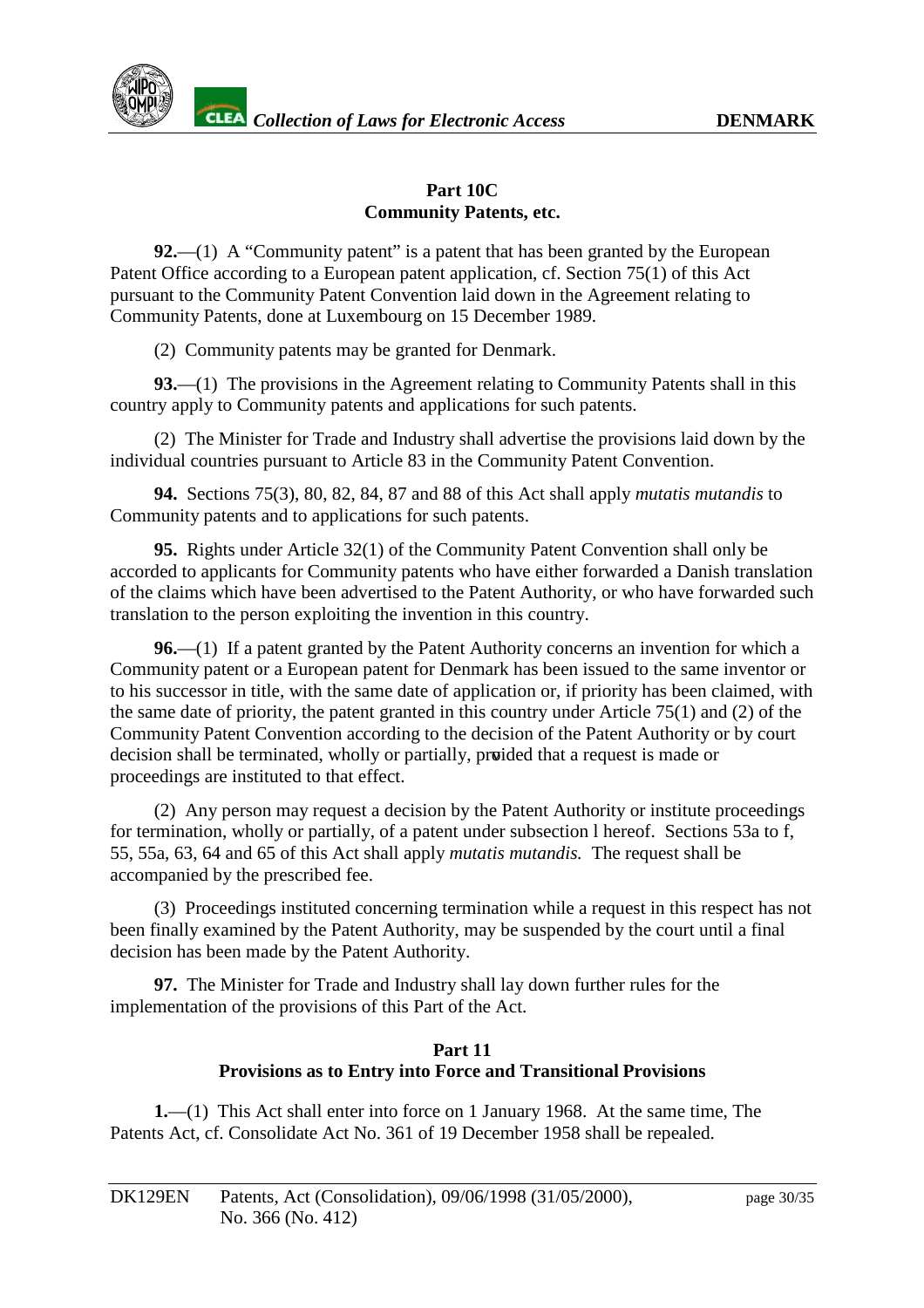

#### **Part 10C Community Patents, etc.**

**92.**—(1) A "Community patent" is a patent that has been granted by the European Patent Office according to a European patent application, cf. Se ction 75(1) of this Act pursuant to the Community Patent Convention laid down in the Agreement relating to Community Patents, done at Luxembourg on 15 December 1989.

(2) Community patents may be granted for Denmark.

**93.**—(1) The provisions in the Agreemen trelating to Community Patents shall in this country apply to Community patents and applications for such patents.

(2) The Minister for Trade and Industry shall advertise the provisions laid down by the individual countries pursuant to Article 83 in the Community Patent Convention.

**94.** Sections 75(3), 80, 82, 84, 87 and 88 of this Act shall apply *mutatis mutandis* to Community patents and to applications for such patents.

**95.** Rights under Article 32(1) of the Community Patent Conventionshall only be accorded to applicants for Community patents who have either forwarded a Danish translation of the claims which have been advertised to the Patent Authority, or who have forwarded such translation to the person exploiting the invention in this country.

**96.**—(1) If a patent granted by the Patent Authority concerns an invention for which a Community patent or a European patent for Denmark has been issued to the same inventor or to his successor in title, with the same date of application or, if priority has been claimed, with the same date of priority, the patent granted in this country under Article 75(1) and (2) of the Community Patent Convention according to the decision of the Patent Authority or by court decisionshall be terminated, wholly or partially, proided that are questismade or proceedings are instituted to that effect.

(2) Any person may request a decision by the Patent Authority or institute proceedings fortermination, wholly or partially, of a patent under subsection l hereof. Sections 53 ato f, 55, 55a, 63, 64 and 65 of this Act shall apply *mutatis mutandis.* The request shall be accompanied by the prescribed fee.

(3) Proceedings instituted concerning termination while a request in this respect has not been finally examined by the Patent Aut hority, may be suspended by the court until a final decision has been made by the Patent Authority.

**97.** The Minister for Trade and Industry shall laydown further rules for the implementation of the provisions of this Part of the Act.

## **Part 11 Provisionsa sto Entry into Force and Transitional Provisions**

**1.**—(1) This Actshall enter into force on 1 January 1968. At the same time, The Patents Act, cf. Consolidate Act No. 361 of 19 December 1958 shall be repealed.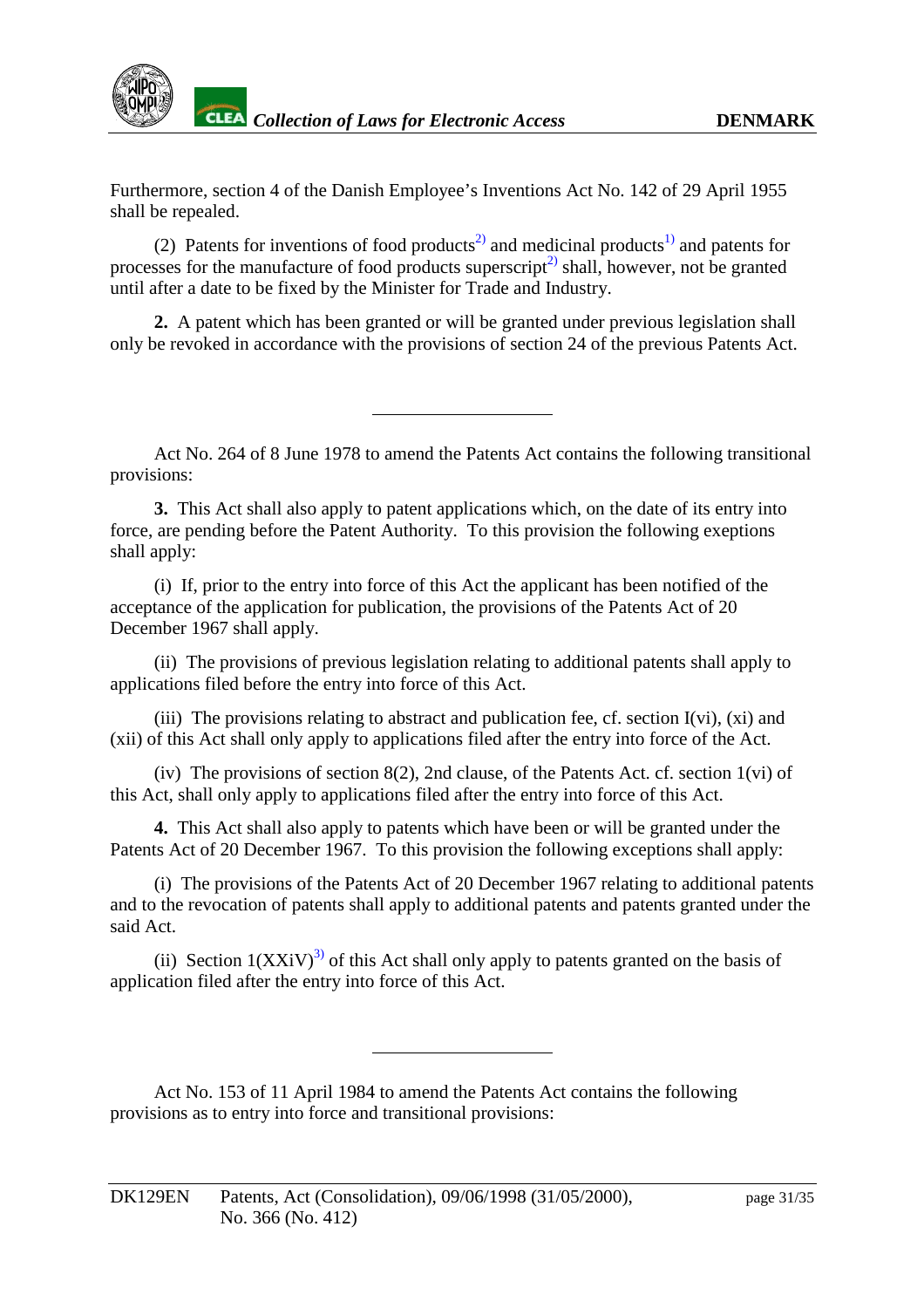

Furthermore, section 4 of the Danish Employ ee's Inventions Act No. 142 of 29 April 1955 shall be repealed.

(2) Patents for inventions of food products  $\frac{2}{2}$  and medicinal products  $\frac{1}{2}$  and patents for processes for the manufacture of food products superscript<sup>2</sup> shall, however, not be granted until after a date to be fixed by the Minister for Trade and Industry.

2. A patent which has been granted or will be granted under previous legislationshall only be revoked in accordance with the provisions of section 24 of the previous Patents Act.

Act No. 264 of 8 June 1978 to amend the Patents Act contains the following transitional provisions:

**3.** This Actshall also apply to patent applications which, on the date of its entry yinto force, are pending before the Patent Authority. To this provision the following exeptions shall apply:

(i) If, prior to the entry into force of this Act the applicant has been notified of the acceptance of the application for publication, the prov isions of the Patents Act of 20 December 1967 shall apply.

(ii) The provisions of previous legislation relating to additional patents shall apply to applications filed before the entry into force of this Act.

 $(iii)$ The provisions relating to abstract and publication fee, cf. section I(vi),  $(xi)$  and (xii) of this Act shall only apply to applications filed after the entry into force of the Act.

 $(iv)$ The provisions of section  $8(2)$ , 2nd clause, of the Patents Act. cf. section  $1(vi)$  of this Act, shall only ap ply to applications filed after the entry into force of this Act.

**4.** This Actshall also apply to patents which have been or will be granted under the Patents Act of 20 December 1967. To this provision the following exceptions shall apply:

(i) The provi sions of the Patents Act of 20 December 1967 relating to additional patents and to the revocation of patents shall apply to additional patents and patents granted under the saidAct.

(ii) Section  $1(XXiV)^{3}$  of this Act shall only apply to patents granted on the basis of application filed after the entry into force of this Act.

ActNo.153 of 11 April 1984 to amend the Patents Act contains the following provisions as to entry into force and transitional provisions: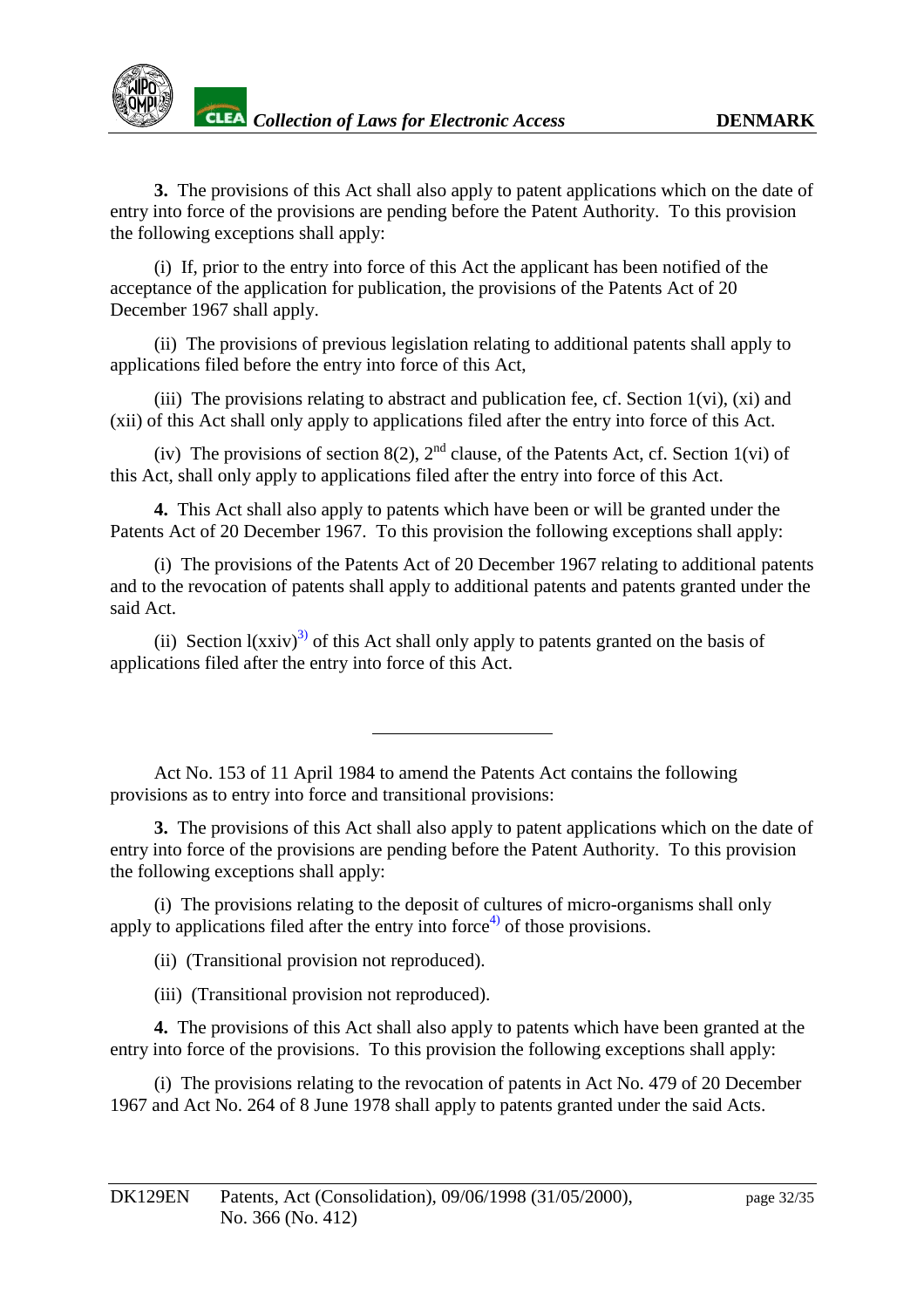

**3.** The provisio nsofthis Actshall also apply to patent applications which on the date of entry into force of the provisions are pending before the Patent Authority. To this provision the following exceptions shall apply:

(i) If, prior to the entry into force of this Act the applicant has been notified of the acceptance of the application for publication, the provisions of the Patents Act of 20 December 1967 shall apply.

(ii) The provisions of previous legislation relating to additional patents shall apply to applications filed before the entry into force of this Act,

 $(iii)$ The provisions relating to abstract and publication fee, cf. Section 1(vi),  $(xi)$  and (xii) of this Act shall only apply to applications filed after the entry into force of this Act.

 $(iv)$  The provi sions of section 8(2), 2  $^{\text{nd}}$  clause, of the Patents Act, cf. Section 1(vi) of this Act, shall only apply to applications filed after the entry into force of this Act.

**4.** This Actshall also apply to patents which have been or will be granted under the Patents Act of 20 December 1967. To this provision the following exceptions shall apply:

(i) The provisions of the Patents Act of 20 December 1967 relating to additional patents and to the revocation of patents shall apply to additional patents and patents gr anted under the saidAct.

(ii) Section l(xxiv)  $3$  of this Actshall only apply to patents granted on the basis of applications filed after the entry into force of this Act.

Act No. 153 of 11 April 1984 to amend the Patents Act communisties to intensify the ntains the following provisions as to entry into force and transitional provisions:

**3.** The provisions of this Acts hall also apply to patent applications which on the date of entry into force of the provisions are pending before the Patent Authority. To this provision the following exceptions shall apply:

(i) The provisions relating to the deposit of cultures of micro -organisms shall only apply to applications filed after the entry into force  $\frac{4}{10}$  of those provisions.

(ii) (Tra nsitional provision not reproduced).

(iii) (Transitional provision not reproduced).

**4.** The provisions of this Acts hall also apply to patents which have been granted at the entry into force of the provisions. To this provision the following exceptions s hall apply:

(i) The provisions relating to the revocation of patents in Act No. 479 of 20 December 1967 and Act No. 264 of 8 June 1978 shall apply to patents granted under the said Acts.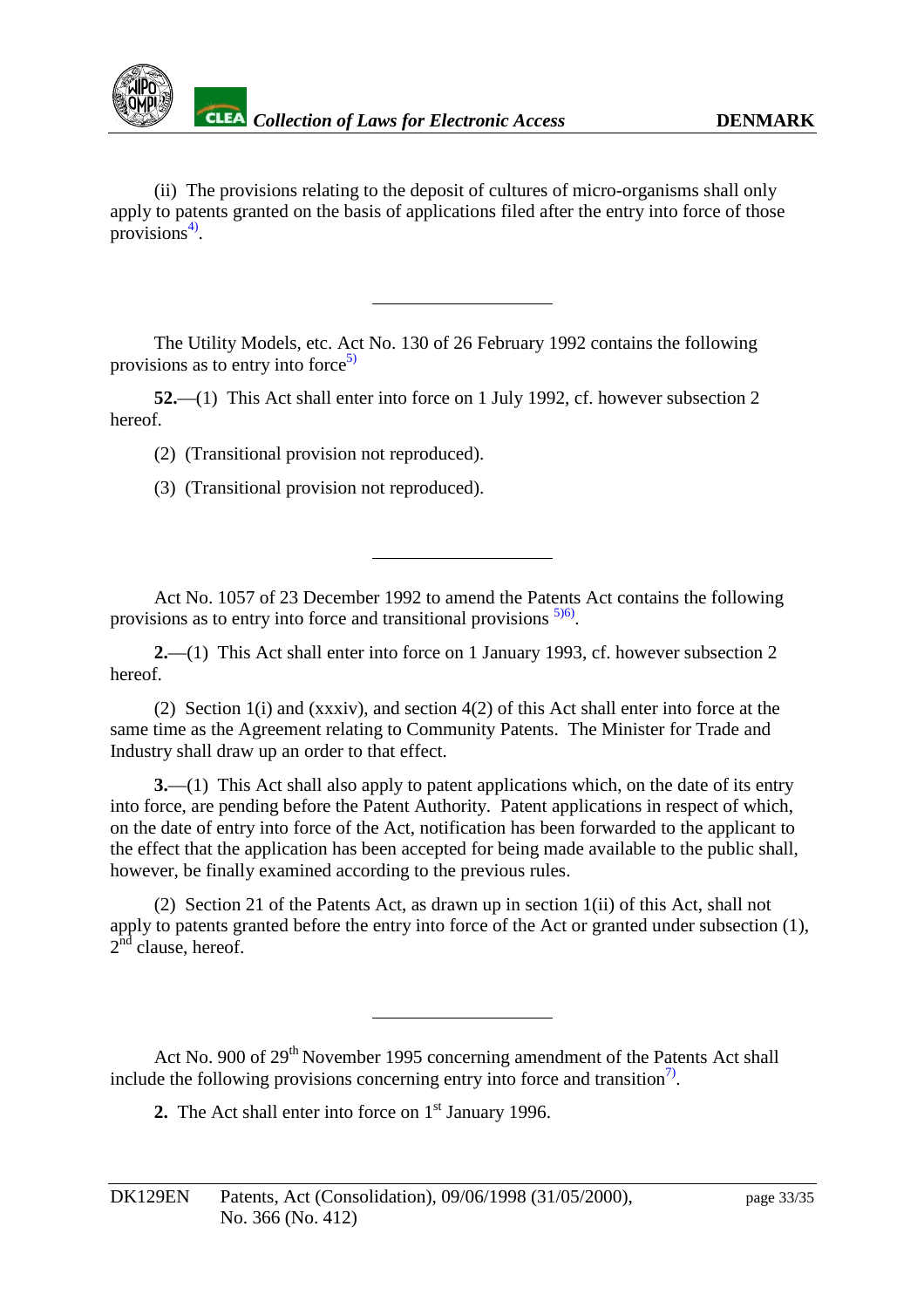

(ii) The provisions relating to the deposit of cultures of micro -organisms shall only apply to patents granted on the basis of applications filed after the entry into force of those provisions $4$ ).

The Utility Models, etc. Act No. 130 of 26 February 1992 contains the following provisions as to entry into force  $5$ 

**52.**—(1) This Actshall enter into force on 1 July 1992, cf. however subsection 2 hereof.

(2) (Transitional provision not reproduced).

(3) (Transitional provision not reproduced).

Act No. 1057 of 23 December 19 92 to amend the Patents Act contains the following provisions as to entry into force and transitional provisions

**2.**—(1) This Actshall enter into force on 1 January 1993, cf. however subsection 2 hereof.

(2) Section 1(i) and (xxxiv), and section 4(2) of this Act shall enter into force at the sametimeas the Agreement relating to Community Patents. The Minister for Trade and Industry shall draw up an order to that effect.

**3.**—(1) This Actshall also apply to patent applications which, on the date of its entry into force, are pending before the Patent Authority. Patent applications in respect of which, on the date of entry into force of the Act, notification has been forwarded to the applicant to the effect that the application has been accepted for being made available to the public shall, however, be finally examined according to the previous rules.

(2) Section 21 of the Patents Act, as drawn up in section 1(ii) of this Act, shall not apply to patents granted before the entry into force of the Actor granted under subsection (1),  $2<sup>nd</sup>$ clause, hereof.

Act No. 900 of 29 <sup>th</sup> November 1995 concerning amendment of the Patents Actshall include the following provisions concerning entry into force and transition<sup>7</sup>.

**2.** The Actshall enter into force on 1 st January 1996.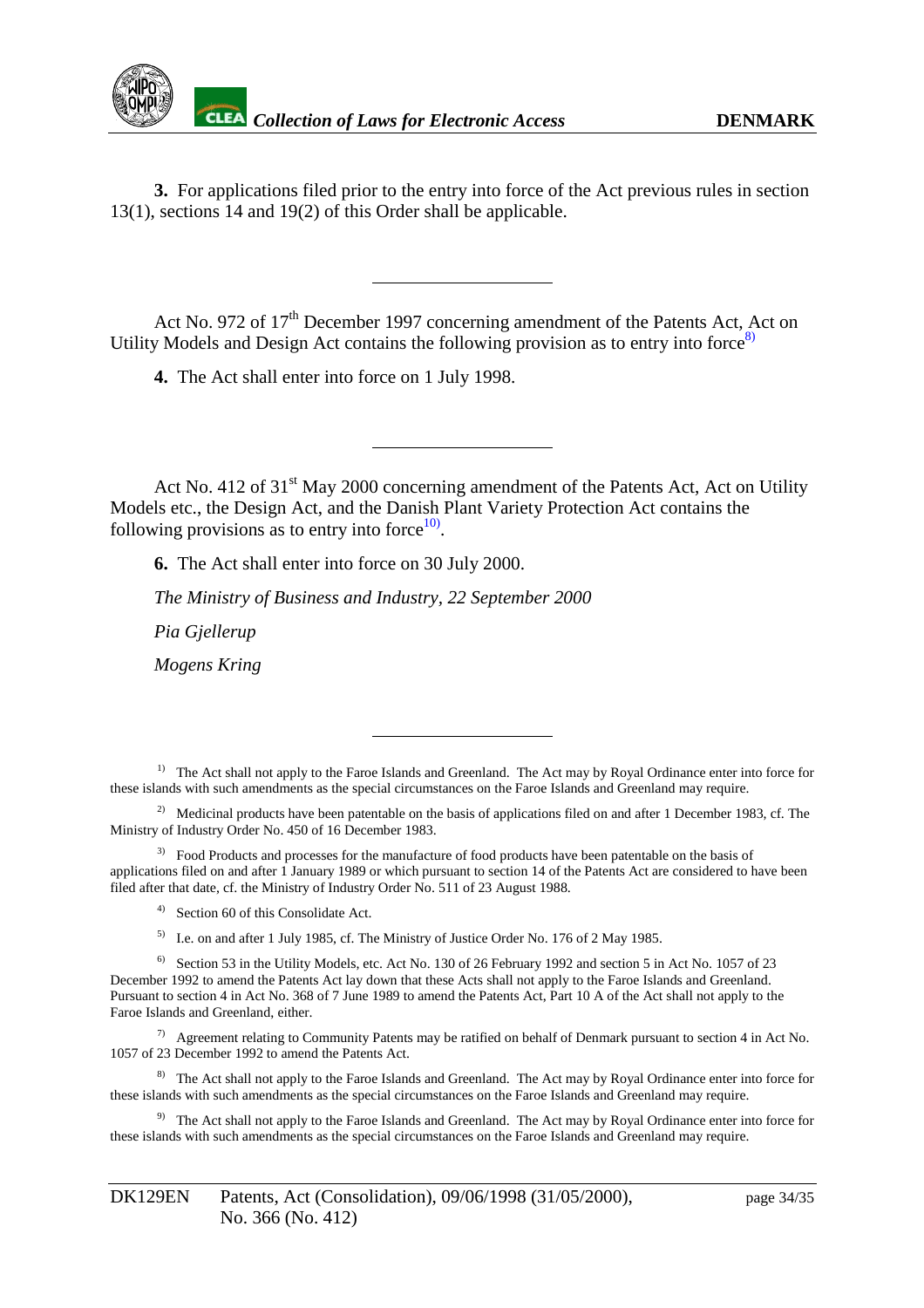<span id="page-33-0"></span>

**3.** For applications filed prior to the entry into force of the Act previous rules in section 13(1), sections 14 and 19(2) of this Order shall be applicable.

Act No. 972 of 17 <sup>th</sup> December 1997 concerning amendment of the Patents Act, Act on Utility Models and Design Act contains the following provision as to entry into force

4. The Actshall enter into force on 1 July 1998.

Act No. 412 of 31 st May 2000 concerning amendment of the Patents Act, Act on Utility Models etc., the Design Act, and the Danish Plant Variety Protection Act contains the following provisions as to entry into force  $\frac{10}{2}$ following provisions as to entry into force

**6.** The Actshall enterinto force on 30 July 2000.

*The Ministry of Business and Industry, 22 September 2000*

*Pia Gjellerup*

*Mogens Kring*

<sup>1)</sup> The Act shall not apply to the Faroe Islands and Greenland. The Act may by Royal Ordinance enter into force for these islands with such amendments as the special circumstances on the Faroe Islands and Greenland may require.

<sup>2)</sup> Medicinal products have been patentable on the basis of applications filed on and after 1 December 1983, cf. The voff ndustry Order No. 450 of 16 December 1983. Ministry of Industry Order No. 450 of 16 Decem

<sup>3)</sup> FoodProducts and processes for the manufacture of food products have been patentable on the basis of applications filed on and after 1 January 1989 or which pursuant to section 14 of the Patents Act are considered to have been filed after th at date, cf. the Ministry of Industry Order No. 511 of 23 August 1988.

- <sup>4)</sup> Section 60 of this Consolidate Act.
- <sup>5)</sup> I.e. on and after 1 July 1985, cf. The Ministry of Justice Order No. 176 of 2May 1985.

<sup>6)</sup> Section 53 in the Utility Models, etc. Act No. 13 0 0 f26 February 1992 and section 5 in Act No. 1057 of 23 December 1992 to amend the Patents Act laydown that these Acts shall not apply to the Faroe Islands and Greenland.<br>Pursuant to section 4 in Act No. 368 of 7 June 1989 to amend the Patents Act. Par t10 Aof the Acts hall not Pursuant to section 4 in Act No. 368 of 7 June 1989 to amend the Patents Act, Par FaroeIslandsandGreenland, either.

 $7)$  Agreement relating to Community Patents may be ratified on behalf of Denmark pursuant to section 4 in Act No. 1057 of 23 December 1992 to amend the Patents Act.

<sup>8)</sup> The Acts hall not apply to the Faroe Islands and Greenland. The Act may by Royal Ordinance enter into force for these islands with such amendments as the special circumstances on the Faroe Islands and Greenland may require.

<sup>9)</sup> The Act shall not apply to the Faroe Islands and Greenland. The Act may by Royal Ordinance enter into force for these islands with such amendments as the special circumstances on the Faroe Islands and Greenland may require.